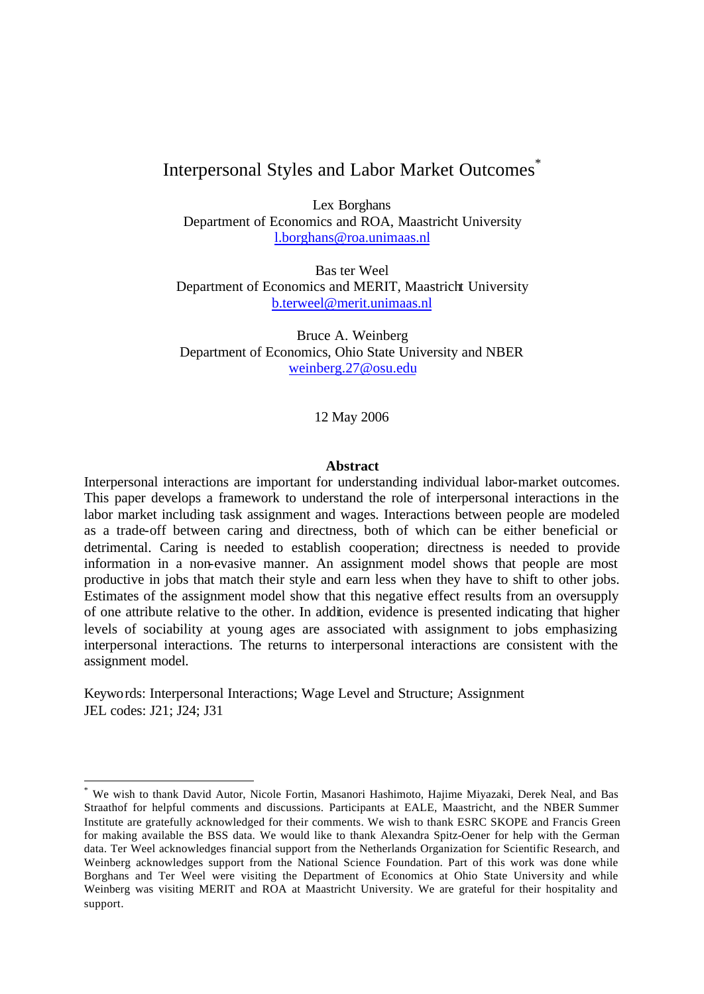# Interpersonal Styles and Labor Market Outcomes<sup>\*</sup>

Lex Borghans Department of Economics and ROA, Maastricht University l.borghans@roa.unimaas.nl

Bas ter Weel Department of Economics and MERIT, Maastricht University b.terweel@merit.unimaas.nl

Bruce A. Weinberg Department of Economics, Ohio State University and NBER weinberg.27@osu.edu

12 May 2006

#### **Abstract**

Interpersonal interactions are important for understanding individual labor-market outcomes. This paper develops a framework to understand the role of interpersonal interactions in the labor market including task assignment and wages. Interactions between people are modeled as a trade-off between caring and directness, both of which can be either beneficial or detrimental. Caring is needed to establish cooperation; directness is needed to provide information in a non-evasive manner. An assignment model shows that people are most productive in jobs that match their style and earn less when they have to shift to other jobs. Estimates of the assignment model show that this negative effect results from an oversupply of one attribute relative to the other. In addition, evidence is presented indicating that higher levels of sociability at young ages are associated with assignment to jobs emphasizing interpersonal interactions. The returns to interpersonal interactions are consistent with the assignment model.

Keywords: Interpersonal Interactions; Wage Level and Structure; Assignment JEL codes: J21; J24; J31

l

<sup>\*</sup> We wish to thank David Autor, Nicole Fortin, Masanori Hashimoto, Hajime Miyazaki, Derek Neal, and Bas Straathof for helpful comments and discussions. Participants at EALE, Maastricht, and the NBER Summer Institute are gratefully acknowledged for their comments. We wish to thank ESRC SKOPE and Francis Green for making available the BSS data. We would like to thank Alexandra Spitz-Oener for help with the German data. Ter Weel acknowledges financial support from the Netherlands Organization for Scientific Research, and Weinberg acknowledges support from the National Science Foundation. Part of this work was done while Borghans and Ter Weel were visiting the Department of Economics at Ohio State University and while Weinberg was visiting MERIT and ROA at Maastricht University. We are grateful for their hospitality and support.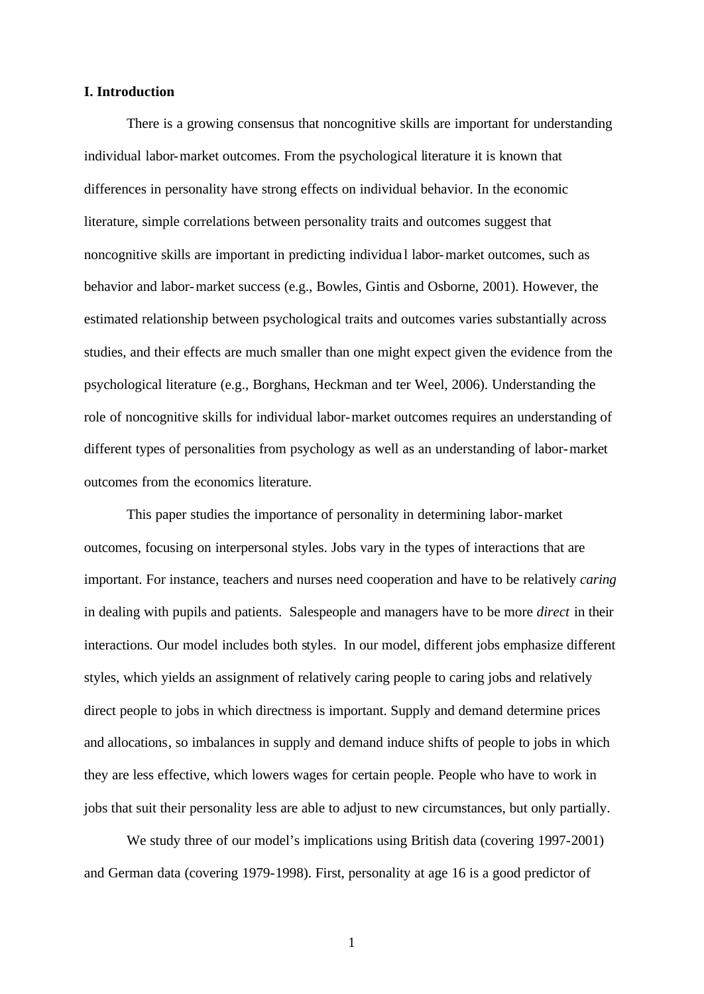## **I. Introduction**

There is a growing consensus that noncognitive skills are important for understanding individual labor-market outcomes. From the psychological literature it is known that differences in personality have strong effects on individual behavior. In the economic literature, simple correlations between personality traits and outcomes suggest that noncognitive skills are important in predicting individua l labor-market outcomes, such as behavior and labor-market success (e.g., Bowles, Gintis and Osborne, 2001). However, the estimated relationship between psychological traits and outcomes varies substantially across studies, and their effects are much smaller than one might expect given the evidence from the psychological literature (e.g., Borghans, Heckman and ter Weel, 2006). Understanding the role of noncognitive skills for individual labor-market outcomes requires an understanding of different types of personalities from psychology as well as an understanding of labor-market outcomes from the economics literature.

This paper studies the importance of personality in determining labor-market outcomes, focusing on interpersonal styles. Jobs vary in the types of interactions that are important. For instance, teachers and nurses need cooperation and have to be relatively *caring* in dealing with pupils and patients. Salespeople and managers have to be more *direct* in their interactions. Our model includes both styles. In our model, different jobs emphasize different styles, which yields an assignment of relatively caring people to caring jobs and relatively direct people to jobs in which directness is important. Supply and demand determine prices and allocations, so imbalances in supply and demand induce shifts of people to jobs in which they are less effective, which lowers wages for certain people. People who have to work in jobs that suit their personality less are able to adjust to new circumstances, but only partially.

We study three of our model's implications using British data (covering 1997-2001) and German data (covering 1979-1998). First, personality at age 16 is a good predictor of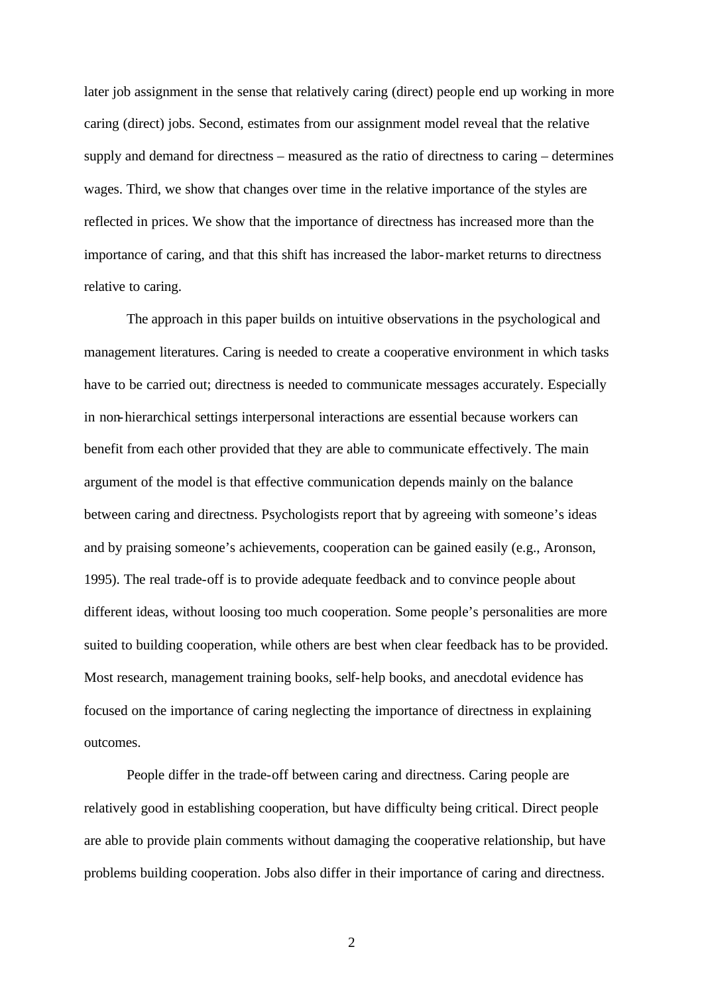later job assignment in the sense that relatively caring (direct) people end up working in more caring (direct) jobs. Second, estimates from our assignment model reveal that the relative supply and demand for directness – measured as the ratio of directness to caring – determines wages. Third, we show that changes over time in the relative importance of the styles are reflected in prices. We show that the importance of directness has increased more than the importance of caring, and that this shift has increased the labor-market returns to directness relative to caring.

The approach in this paper builds on intuitive observations in the psychological and management literatures. Caring is needed to create a cooperative environment in which tasks have to be carried out; directness is needed to communicate messages accurately. Especially in non-hierarchical settings interpersonal interactions are essential because workers can benefit from each other provided that they are able to communicate effectively. The main argument of the model is that effective communication depends mainly on the balance between caring and directness. Psychologists report that by agreeing with someone's ideas and by praising someone's achievements, cooperation can be gained easily (e.g., Aronson, 1995). The real trade-off is to provide adequate feedback and to convince people about different ideas, without loosing too much cooperation. Some people's personalities are more suited to building cooperation, while others are best when clear feedback has to be provided. Most research, management training books, self-help books, and anecdotal evidence has focused on the importance of caring neglecting the importance of directness in explaining outcomes.

People differ in the trade-off between caring and directness. Caring people are relatively good in establishing cooperation, but have difficulty being critical. Direct people are able to provide plain comments without damaging the cooperative relationship, but have problems building cooperation. Jobs also differ in their importance of caring and directness.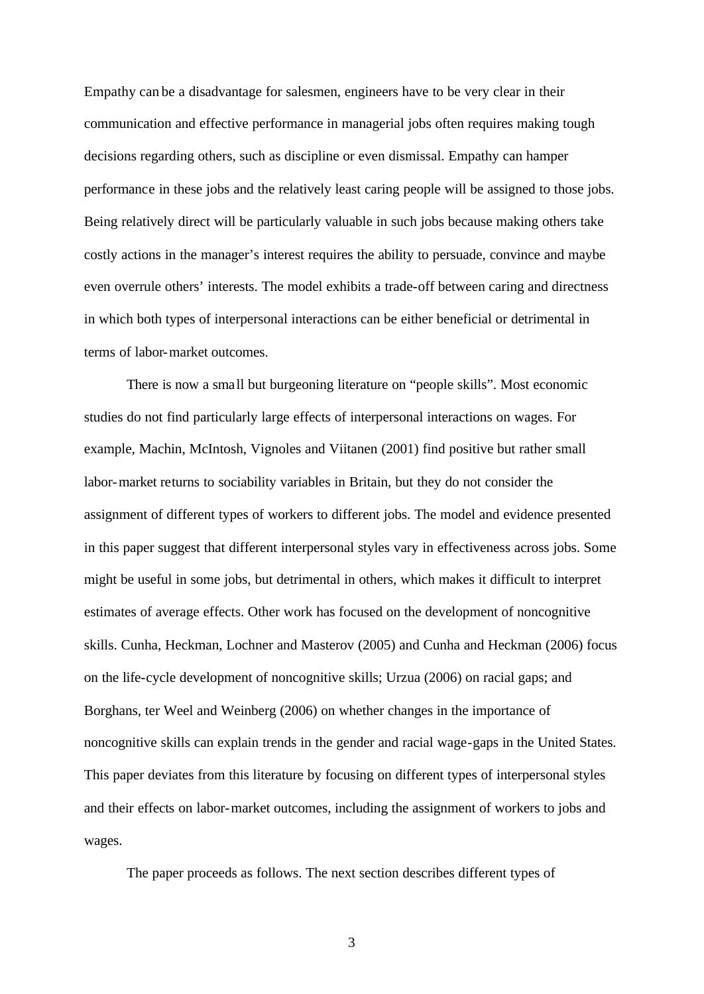Empathy can be a disadvantage for salesmen, engineers have to be very clear in their communication and effective performance in managerial jobs often requires making tough decisions regarding others, such as discipline or even dismissal. Empathy can hamper performance in these jobs and the relatively least caring people will be assigned to those jobs. Being relatively direct will be particularly valuable in such jobs because making others take costly actions in the manager's interest requires the ability to persuade, convince and maybe even overrule others' interests. The model exhibits a trade-off between caring and directness in which both types of interpersonal interactions can be either beneficial or detrimental in terms of labor-market outcomes.

There is now a small but burgeoning literature on "people skills". Most economic studies do not find particularly large effects of interpersonal interactions on wages. For example, Machin, McIntosh, Vignoles and Viitanen (2001) find positive but rather small labor-market returns to sociability variables in Britain, but they do not consider the assignment of different types of workers to different jobs. The model and evidence presented in this paper suggest that different interpersonal styles vary in effectiveness across jobs. Some might be useful in some jobs, but detrimental in others, which makes it difficult to interpret estimates of average effects. Other work has focused on the development of noncognitive skills. Cunha, Heckman, Lochner and Masterov (2005) and Cunha and Heckman (2006) focus on the life-cycle development of noncognitive skills; Urzua (2006) on racial gaps; and Borghans, ter Weel and Weinberg (2006) on whether changes in the importance of noncognitive skills can explain trends in the gender and racial wage-gaps in the United States. This paper deviates from this literature by focusing on different types of interpersonal styles and their effects on labor-market outcomes, including the assignment of workers to jobs and wages.

The paper proceeds as follows. The next section describes different types of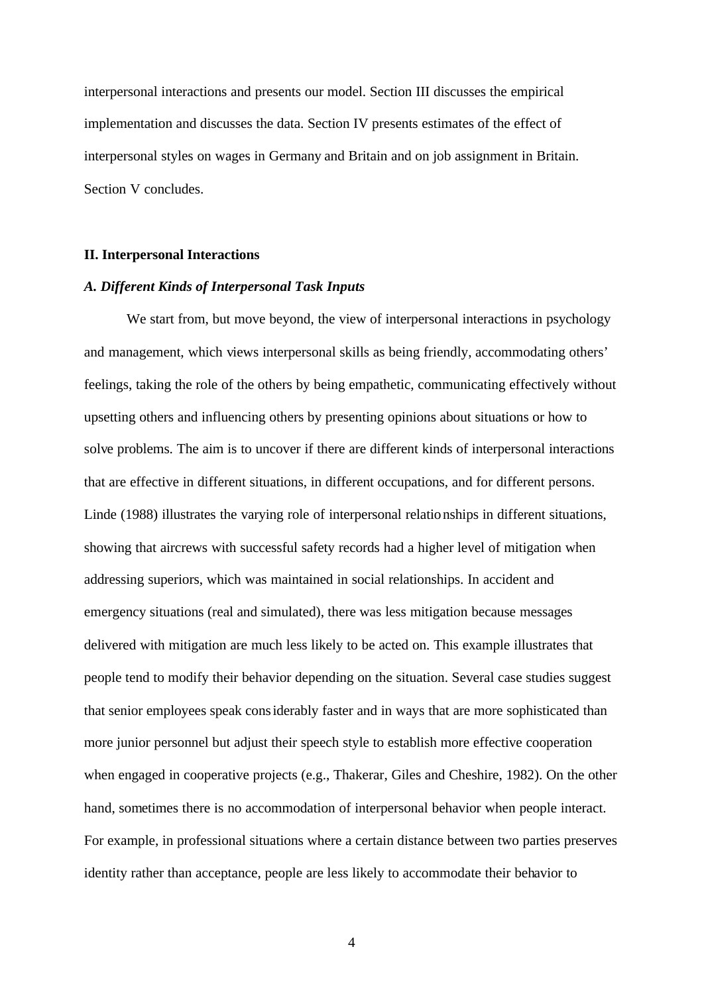interpersonal interactions and presents our model. Section III discusses the empirical implementation and discusses the data. Section IV presents estimates of the effect of interpersonal styles on wages in Germany and Britain and on job assignment in Britain. Section V concludes.

#### **II. Interpersonal Interactions**

### *A. Different Kinds of Interpersonal Task Inputs*

We start from, but move beyond, the view of interpersonal interactions in psychology and management, which views interpersonal skills as being friendly, accommodating others' feelings, taking the role of the others by being empathetic, communicating effectively without upsetting others and influencing others by presenting opinions about situations or how to solve problems. The aim is to uncover if there are different kinds of interpersonal interactions that are effective in different situations, in different occupations, and for different persons. Linde (1988) illustrates the varying role of interpersonal relationships in different situations, showing that aircrews with successful safety records had a higher level of mitigation when addressing superiors, which was maintained in social relationships. In accident and emergency situations (real and simulated), there was less mitigation because messages delivered with mitigation are much less likely to be acted on. This example illustrates that people tend to modify their behavior depending on the situation. Several case studies suggest that senior employees speak considerably faster and in ways that are more sophisticated than more junior personnel but adjust their speech style to establish more effective cooperation when engaged in cooperative projects (e.g., Thakerar, Giles and Cheshire, 1982). On the other hand, sometimes there is no accommodation of interpersonal behavior when people interact. For example, in professional situations where a certain distance between two parties preserves identity rather than acceptance, people are less likely to accommodate their behavior to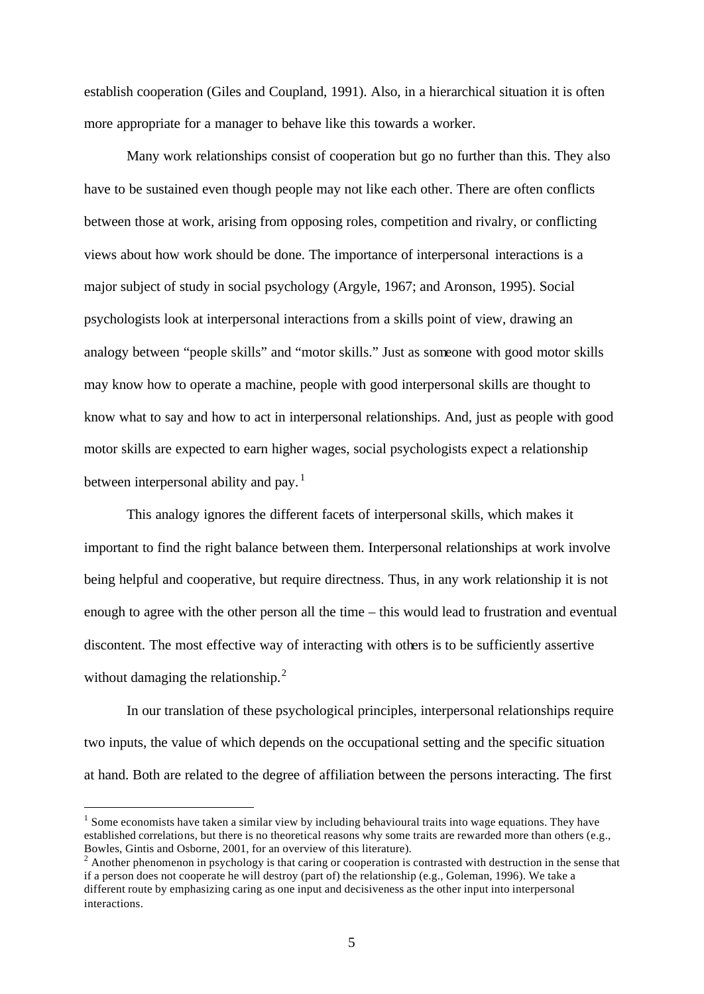establish cooperation (Giles and Coupland, 1991). Also, in a hierarchical situation it is often more appropriate for a manager to behave like this towards a worker.

Many work relationships consist of cooperation but go no further than this. They also have to be sustained even though people may not like each other. There are often conflicts between those at work, arising from opposing roles, competition and rivalry, or conflicting views about how work should be done. The importance of interpersonal interactions is a major subject of study in social psychology (Argyle, 1967; and Aronson, 1995). Social psychologists look at interpersonal interactions from a skills point of view, drawing an analogy between "people skills" and "motor skills." Just as someone with good motor skills may know how to operate a machine, people with good interpersonal skills are thought to know what to say and how to act in interpersonal relationships. And, just as people with good motor skills are expected to earn higher wages, social psychologists expect a relationship between interpersonal ability and pay.<sup>1</sup>

This analogy ignores the different facets of interpersonal skills, which makes it important to find the right balance between them. Interpersonal relationships at work involve being helpful and cooperative, but require directness. Thus, in any work relationship it is not enough to agree with the other person all the time – this would lead to frustration and eventual discontent. The most effective way of interacting with others is to be sufficiently assertive without damaging the relationship. $^{2}$ 

In our translation of these psychological principles, interpersonal relationships require two inputs, the value of which depends on the occupational setting and the specific situation at hand. Both are related to the degree of affiliation between the persons interacting. The first

l

<sup>&</sup>lt;sup>1</sup> Some economists have taken a similar view by including behavioural traits into wage equations. They have established correlations, but there is no theoretical reasons why some traits are rewarded more than others (e.g., Bowles, Gintis and Osborne, 2001, for an overview of this literature).

<sup>&</sup>lt;sup>2</sup> Another phenomenon in psychology is that caring or cooperation is contrasted with destruction in the sense that if a person does not cooperate he will destroy (part of) the relationship (e.g., Goleman, 1996). We take a different route by emphasizing caring as one input and decisiveness as the other input into interpersonal interactions.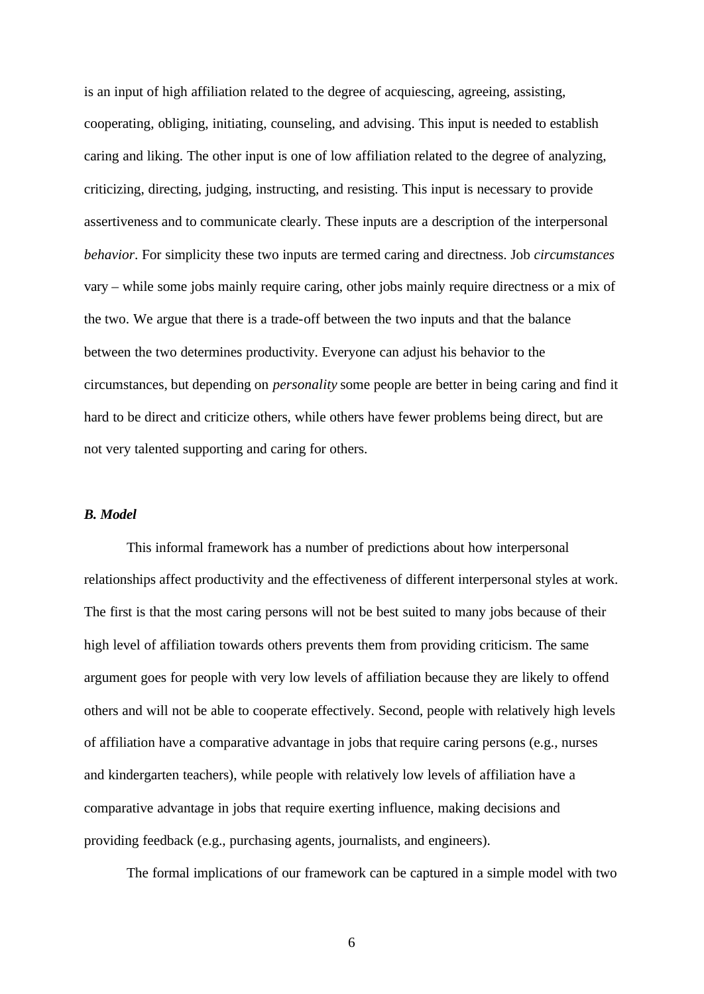is an input of high affiliation related to the degree of acquiescing, agreeing, assisting, cooperating, obliging, initiating, counseling, and advising. This input is needed to establish caring and liking. The other input is one of low affiliation related to the degree of analyzing, criticizing, directing, judging, instructing, and resisting. This input is necessary to provide assertiveness and to communicate clearly. These inputs are a description of the interpersonal *behavior*. For simplicity these two inputs are termed caring and directness. Job *circumstances* vary – while some jobs mainly require caring, other jobs mainly require directness or a mix of the two. We argue that there is a trade-off between the two inputs and that the balance between the two determines productivity. Everyone can adjust his behavior to the circumstances, but depending on *personality* some people are better in being caring and find it hard to be direct and criticize others, while others have fewer problems being direct, but are not very talented supporting and caring for others.

## *B. Model*

This informal framework has a number of predictions about how interpersonal relationships affect productivity and the effectiveness of different interpersonal styles at work. The first is that the most caring persons will not be best suited to many jobs because of their high level of affiliation towards others prevents them from providing criticism. The same argument goes for people with very low levels of affiliation because they are likely to offend others and will not be able to cooperate effectively. Second, people with relatively high levels of affiliation have a comparative advantage in jobs that require caring persons (e.g., nurses and kindergarten teachers), while people with relatively low levels of affiliation have a comparative advantage in jobs that require exerting influence, making decisions and providing feedback (e.g., purchasing agents, journalists, and engineers).

The formal implications of our framework can be captured in a simple model with two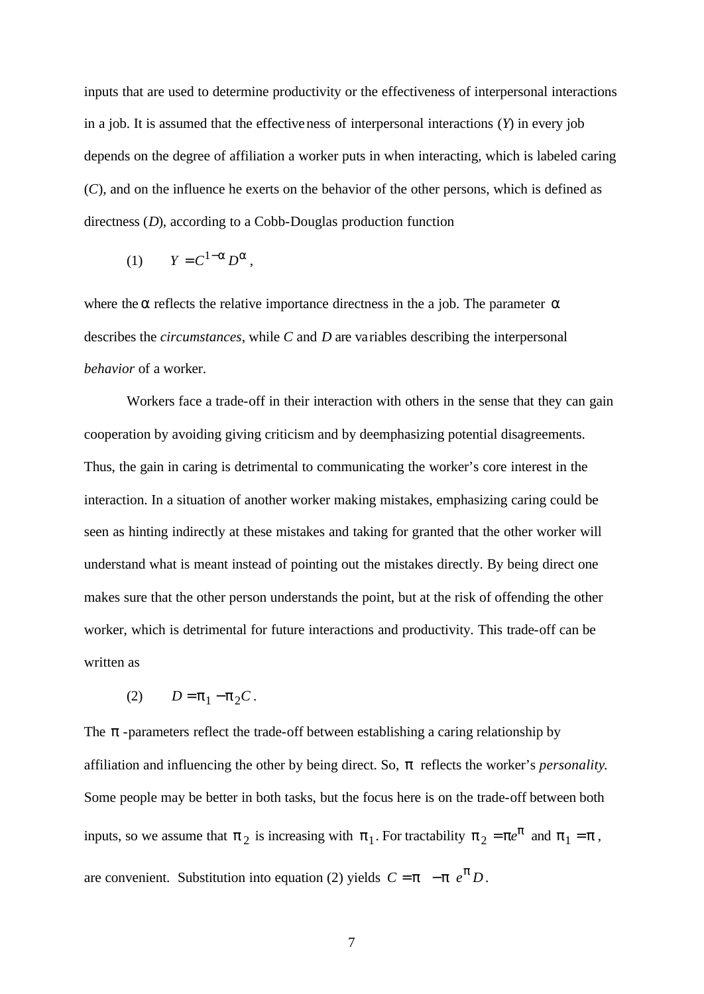inputs that are used to determine productivity or the effectiveness of interpersonal interactions in a job. It is assumed that the effectiveness of interpersonal interactions (*Y*) in every job depends on the degree of affiliation a worker puts in when interacting, which is labeled caring (*C*), and on the influence he exerts on the behavior of the other persons, which is defined as directness (*D*), according to a Cobb-Douglas production function

$$
(1) \qquad Y = C^{1-a} D^a,
$$

where the *a* reflects the relative importance directness in the a job. The parameter *a* describes the *circumstances*, while *C* and *D* are variables describing the interpersonal *behavior* of a worker.

Workers face a trade-off in their interaction with others in the sense that they can gain cooperation by avoiding giving criticism and by deemphasizing potential disagreements. Thus, the gain in caring is detrimental to communicating the worker's core interest in the interaction. In a situation of another worker making mistakes, emphasizing caring could be seen as hinting indirectly at these mistakes and taking for granted that the other worker will understand what is meant instead of pointing out the mistakes directly. By being direct one makes sure that the other person understands the point, but at the risk of offending the other worker, which is detrimental for future interactions and productivity. This trade-off can be written as

$$
(2) \qquad D = \boldsymbol{p}_1 - \boldsymbol{p}_2 C \, .
$$

The **p**-parameters reflect the trade-off between establishing a caring relationship by affiliation and influencing the other by being direct. So, *p* reflects the worker's *personality*. Some people may be better in both tasks, but the focus here is on the trade-off between both inputs, so we assume that  $p_2$  is increasing with  $p_1$ . For tractability  $p_2 = pe^p$  and  $p_1 = p$ , are convenient. Substitution into equation (2) yields  $C = p - p e^p D$ .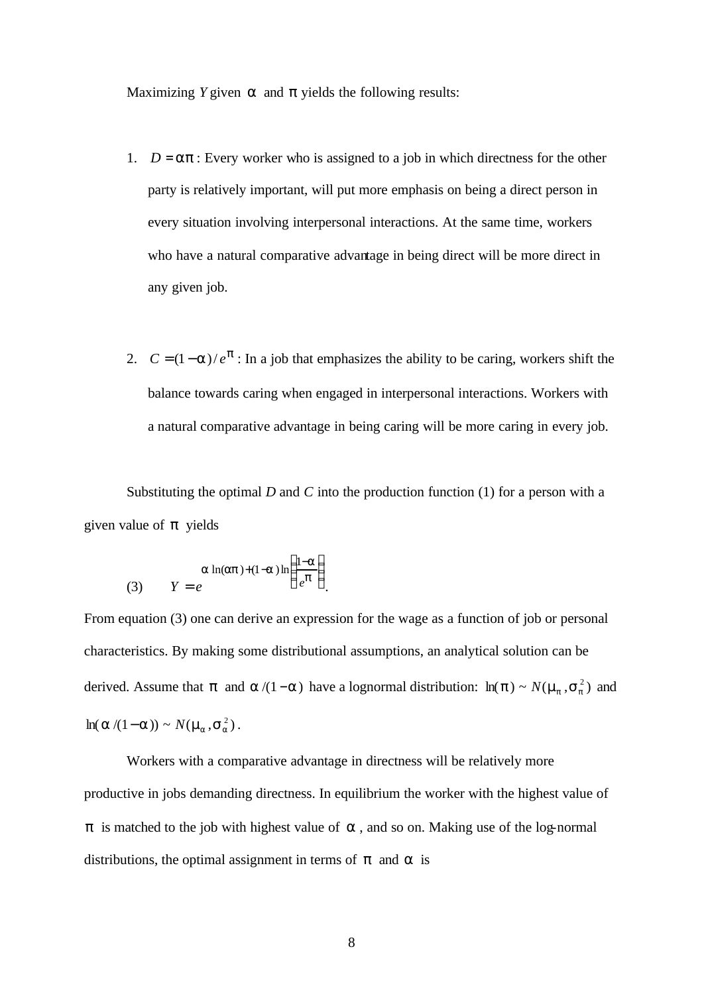Maximizing *Y* given *a* and *p* yields the following results:

- 1.  $D = ap$ : Every worker who is assigned to a job in which directness for the other party is relatively important, will put more emphasis on being a direct person in every situation involving interpersonal interactions. At the same time, workers who have a natural comparative advantage in being direct will be more direct in any given job.
- 2.  $C = (1 a)/e^p$ : In a job that emphasizes the ability to be caring, workers shift the balance towards caring when engaged in interpersonal interactions. Workers with a natural comparative advantage in being caring will be more caring in every job.

Substituting the optimal *D* and *C* into the production function (1) for a person with a given value of *p* yields

(3) 
$$
a \ln(ap)+(1-a)\ln\left(\frac{1-a}{e^p}\right)
$$

From equation (3) one can derive an expression for the wage as a function of job or personal characteristics. By making some distributional assumptions, an analytical solution can be derived. Assume that *p* and  $a/(1-a)$  have a lognormal distribution:  $\ln(p) \sim N(m_p, s_p^2)$  and  $ln(a/(1-a)) \sim N(m_a, s_a^2)$ .

Workers with a comparative advantage in directness will be relatively more productive in jobs demanding directness. In equilibrium the worker with the highest value of *p* is matched to the job with highest value of **a**, and so on. Making use of the log-normal distributions, the optimal assignment in terms of *p* and *a* is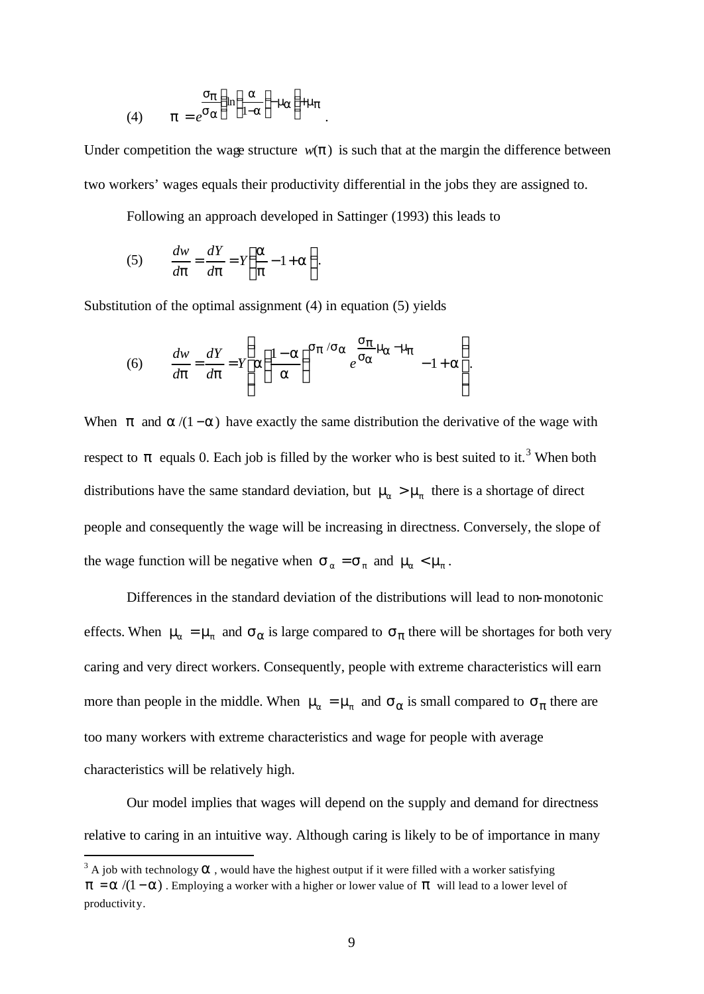(4) 
$$
p = e^{S_{\boldsymbol{B}}}\left(\ln\left(\frac{a}{1-a}\right)m_{\boldsymbol{B}}\right)+m_{\boldsymbol{p}}.
$$

Under competition the wage structure  $w(\mathbf{p})$  is such that at the margin the difference between two workers' wages equals their productivity differential in the jobs they are assigned to.

Following an approach developed in Sattinger (1993) this leads to

.

(5) 
$$
\frac{dw}{dp} = \frac{dY}{dp} = Y\left(\frac{a}{p} - 1 + a\right)
$$

Substitution of the optimal assignment (4) in equation (5) yields

(6) 
$$
\frac{dw}{dp} = \frac{dY}{dp} = Y \left( a \left( \frac{1-a}{a} \right)^{5} p^{5} a \frac{5p}{e^{5a}} m_{a} - m_{b} \right) - 1 + a
$$

When *p* and  $a/(1-a)$  have exactly the same distribution the derivative of the wage with respect to  $\boldsymbol{p}$  equals 0. Each job is filled by the worker who is best suited to it.<sup>3</sup> When both distributions have the same standard deviation, but  $m_a > m_p$  there is a shortage of direct people and consequently the wage will be increasing in directness. Conversely, the slope of the wage function will be negative when  $s_a = s_p$  and  $m_a < m_p$ .

Differences in the standard deviation of the distributions will lead to non-monotonic effects. When  $m_a = m_p$  and  $s_a$  is large compared to  $s_p$  there will be shortages for both very caring and very direct workers. Consequently, people with extreme characteristics will earn more than people in the middle. When  $m_a = m_p$  and  $s_a$  is small compared to  $s_p$  there are too many workers with extreme characteristics and wage for people with average characteristics will be relatively high.

Our model implies that wages will depend on the supply and demand for directness relative to caring in an intuitive way. Although caring is likely to be of importance in many

l

 $3$  A job with technology  $\boldsymbol{a}$ , would have the highest output if it were filled with a worker satisfying *p* = *a* /(1−*a*). Employing a worker with a higher or lower value of *p* will lead to a lower level of productivity.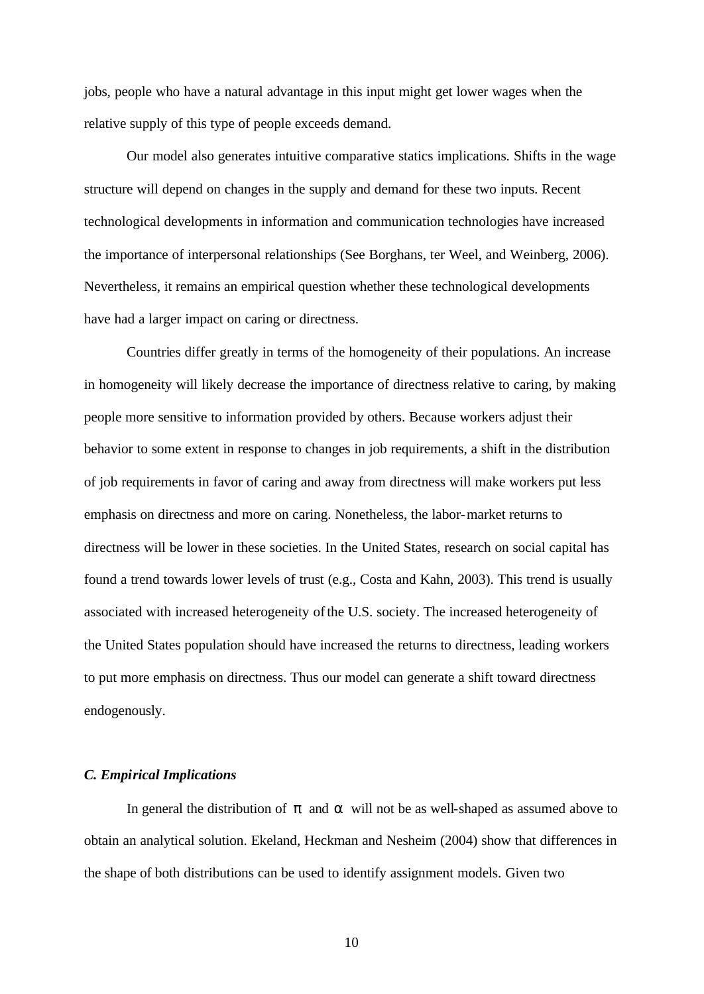jobs, people who have a natural advantage in this input might get lower wages when the relative supply of this type of people exceeds demand.

Our model also generates intuitive comparative statics implications. Shifts in the wage structure will depend on changes in the supply and demand for these two inputs. Recent technological developments in information and communication technologies have increased the importance of interpersonal relationships (See Borghans, ter Weel, and Weinberg, 2006). Nevertheless, it remains an empirical question whether these technological developments have had a larger impact on caring or directness.

Countries differ greatly in terms of the homogeneity of their populations. An increase in homogeneity will likely decrease the importance of directness relative to caring, by making people more sensitive to information provided by others. Because workers adjust their behavior to some extent in response to changes in job requirements, a shift in the distribution of job requirements in favor of caring and away from directness will make workers put less emphasis on directness and more on caring. Nonetheless, the labor-market returns to directness will be lower in these societies. In the United States, research on social capital has found a trend towards lower levels of trust (e.g., Costa and Kahn, 2003). This trend is usually associated with increased heterogeneity of the U.S. society. The increased heterogeneity of the United States population should have increased the returns to directness, leading workers to put more emphasis on directness. Thus our model can generate a shift toward directness endogenously.

## *C. Empirical Implications*

In general the distribution of *p* and *a* will not be as well-shaped as assumed above to obtain an analytical solution. Ekeland, Heckman and Nesheim (2004) show that differences in the shape of both distributions can be used to identify assignment models. Given two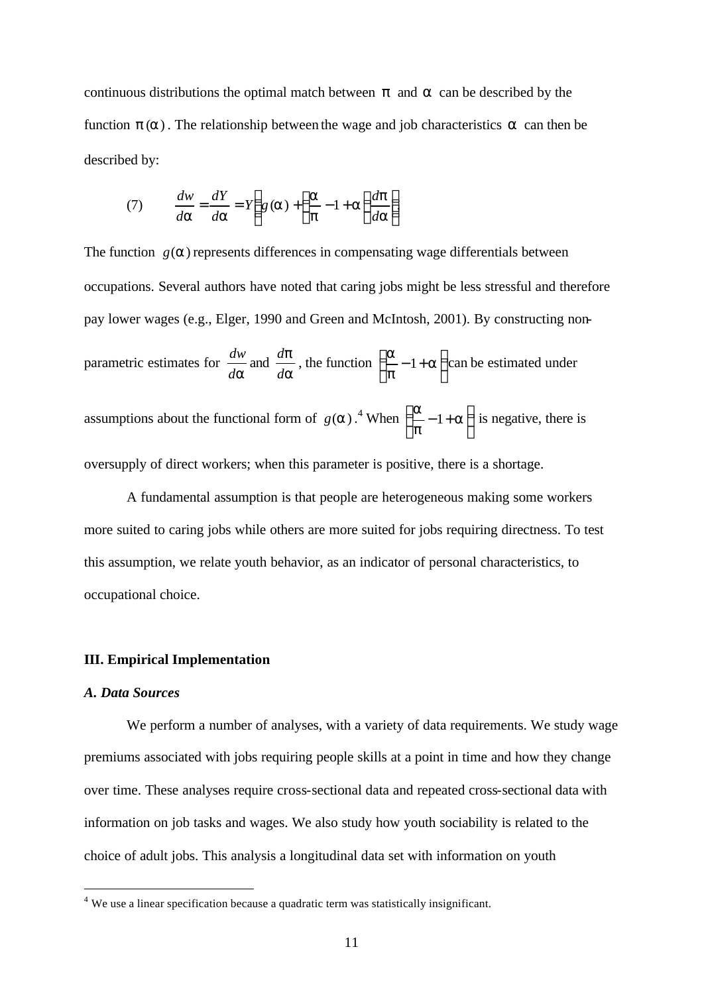continuous distributions the optimal match between *p* and *a* can be described by the function *p* (*a*) . The relationship between the wage and job characteristics *a* can then be described by:

(7) 
$$
\frac{dw}{da} = \frac{dY}{da} = Y \left( g(a) + \left( \frac{a}{p} - 1 + a \right) \frac{dp}{da} \right)
$$

The function  $g(a)$  represents differences in compensating wage differentials between occupations. Several authors have noted that caring jobs might be less stressful and therefore pay lower wages (e.g., Elger, 1990 and Green and McIntosh, 2001). By constructing nonparametric estimates for *da*  $\frac{dw}{dx}$  and *a p d*  $\frac{d\mathbf{p}}{d\mathbf{p}}$ , the function  $\left(\frac{\mathbf{a}}{\mathbf{q}}-1+\mathbf{a}\right)$  $\overline{1}$  $\left(\frac{a}{a}-1+a\right)$ l  $\begin{pmatrix} a & -1+a \end{pmatrix}$ *p*  $\mathbf{a}_{-1}$   $\mathbf{a}$  can be estimated under assumptions about the functional form of  $g(a)$ .<sup>4</sup> When  $\left|\frac{a}{2}-1+a\right|$  $\overline{1}$  $\left(\frac{a}{a}-1+a\right)$ l  $\begin{pmatrix} a & -1+a \end{pmatrix}$ *p*  $\left(\frac{a}{a}-1+a\right)$  is negative, there is oversupply of direct workers; when this parameter is positive, there is a shortage.

A fundamental assumption is that people are heterogeneous making some workers more suited to caring jobs while others are more suited for jobs requiring directness. To test this assumption, we relate youth behavior, as an indicator of personal characteristics, to occupational choice.

## **III. Empirical Implementation**

### *A. Data Sources*

We perform a number of analyses, with a variety of data requirements. We study wage premiums associated with jobs requiring people skills at a point in time and how they change over time. These analyses require cross-sectional data and repeated cross-sectional data with information on job tasks and wages. We also study how youth sociability is related to the choice of adult jobs. This analysis a longitudinal data set with information on youth

 4 We use a linear specification because a quadratic term was statistically insignificant.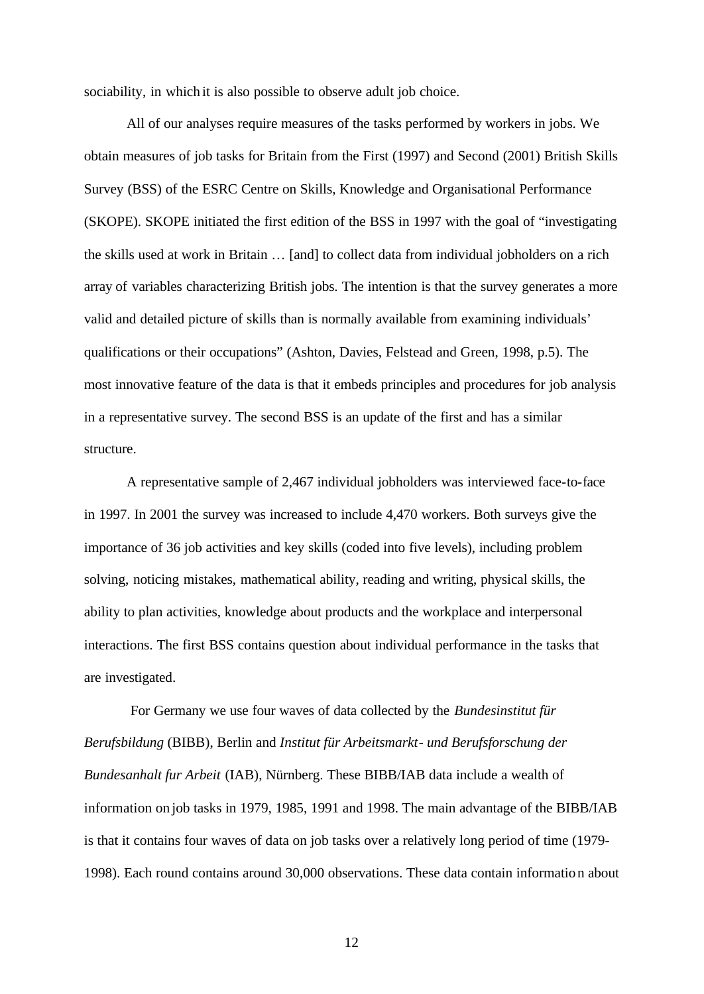sociability, in which it is also possible to observe adult job choice.

All of our analyses require measures of the tasks performed by workers in jobs. We obtain measures of job tasks for Britain from the First (1997) and Second (2001) British Skills Survey (BSS) of the ESRC Centre on Skills, Knowledge and Organisational Performance (SKOPE). SKOPE initiated the first edition of the BSS in 1997 with the goal of "investigating the skills used at work in Britain … [and] to collect data from individual jobholders on a rich array of variables characterizing British jobs. The intention is that the survey generates a more valid and detailed picture of skills than is normally available from examining individuals' qualifications or their occupations" (Ashton, Davies, Felstead and Green, 1998, p.5). The most innovative feature of the data is that it embeds principles and procedures for job analysis in a representative survey. The second BSS is an update of the first and has a similar structure.

A representative sample of 2,467 individual jobholders was interviewed face-to-face in 1997. In 2001 the survey was increased to include 4,470 workers. Both surveys give the importance of 36 job activities and key skills (coded into five levels), including problem solving, noticing mistakes, mathematical ability, reading and writing, physical skills, the ability to plan activities, knowledge about products and the workplace and interpersonal interactions. The first BSS contains question about individual performance in the tasks that are investigated.

 For Germany we use four waves of data collected by the *Bundesinstitut für Berufsbildung* (BIBB), Berlin and *Institut für Arbeitsmarkt- und Berufsforschung der Bundesanhalt fur Arbeit* (IAB), Nürnberg. These BIBB/IAB data include a wealth of information on job tasks in 1979, 1985, 1991 and 1998. The main advantage of the BIBB/IAB is that it contains four waves of data on job tasks over a relatively long period of time (1979- 1998). Each round contains around 30,000 observations. These data contain information about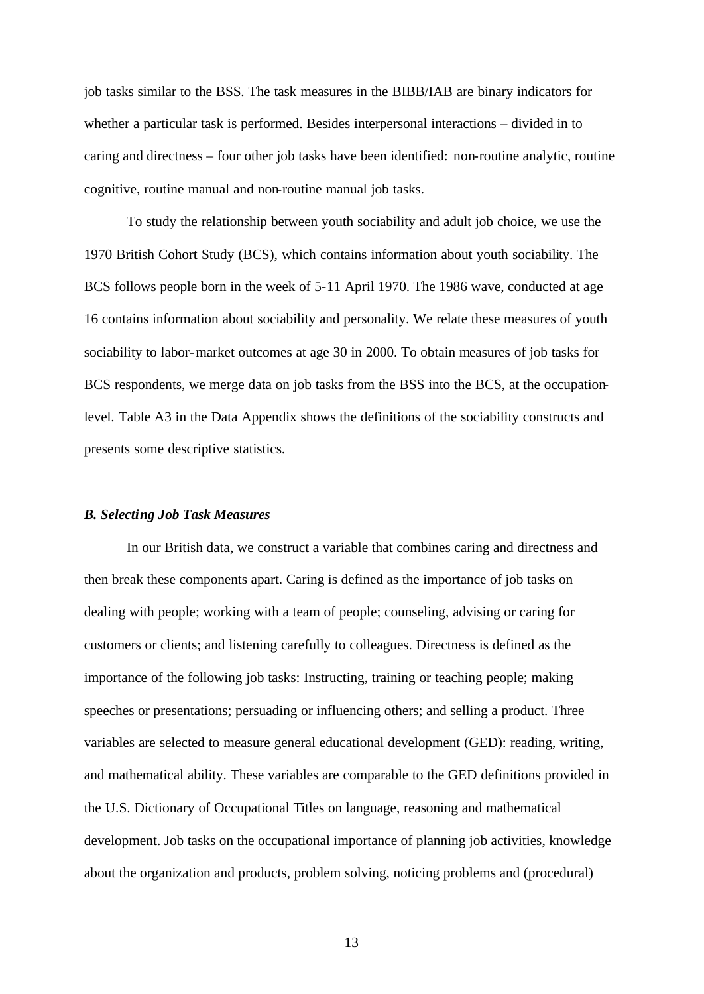job tasks similar to the BSS. The task measures in the BIBB/IAB are binary indicators for whether a particular task is performed. Besides interpersonal interactions – divided in to caring and directness – four other job tasks have been identified: non-routine analytic, routine cognitive, routine manual and non-routine manual job tasks.

To study the relationship between youth sociability and adult job choice, we use the 1970 British Cohort Study (BCS), which contains information about youth sociability. The BCS follows people born in the week of 5-11 April 1970. The 1986 wave, conducted at age 16 contains information about sociability and personality. We relate these measures of youth sociability to labor-market outcomes at age 30 in 2000. To obtain measures of job tasks for BCS respondents, we merge data on job tasks from the BSS into the BCS, at the occupationlevel. Table A3 in the Data Appendix shows the definitions of the sociability constructs and presents some descriptive statistics.

#### *B. Selecting Job Task Measures*

In our British data, we construct a variable that combines caring and directness and then break these components apart. Caring is defined as the importance of job tasks on dealing with people; working with a team of people; counseling, advising or caring for customers or clients; and listening carefully to colleagues. Directness is defined as the importance of the following job tasks: Instructing, training or teaching people; making speeches or presentations; persuading or influencing others; and selling a product. Three variables are selected to measure general educational development (GED): reading, writing, and mathematical ability. These variables are comparable to the GED definitions provided in the U.S. Dictionary of Occupational Titles on language, reasoning and mathematical development. Job tasks on the occupational importance of planning job activities, knowledge about the organization and products, problem solving, noticing problems and (procedural)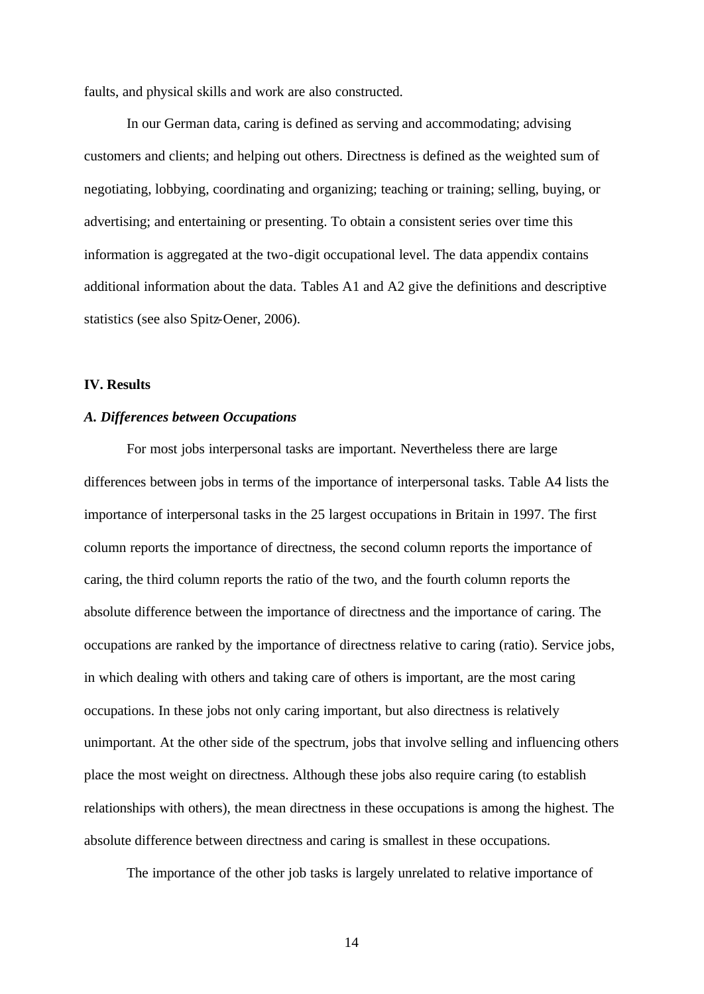faults, and physical skills and work are also constructed.

In our German data, caring is defined as serving and accommodating; advising customers and clients; and helping out others. Directness is defined as the weighted sum of negotiating, lobbying, coordinating and organizing; teaching or training; selling, buying, or advertising; and entertaining or presenting. To obtain a consistent series over time this information is aggregated at the two-digit occupational level. The data appendix contains additional information about the data. Tables A1 and A2 give the definitions and descriptive statistics (see also Spitz-Oener, 2006).

## **IV. Results**

## *A. Differences between Occupations*

For most jobs interpersonal tasks are important. Nevertheless there are large differences between jobs in terms of the importance of interpersonal tasks. Table A4 lists the importance of interpersonal tasks in the 25 largest occupations in Britain in 1997. The first column reports the importance of directness, the second column reports the importance of caring, the third column reports the ratio of the two, and the fourth column reports the absolute difference between the importance of directness and the importance of caring. The occupations are ranked by the importance of directness relative to caring (ratio). Service jobs, in which dealing with others and taking care of others is important, are the most caring occupations. In these jobs not only caring important, but also directness is relatively unimportant. At the other side of the spectrum, jobs that involve selling and influencing others place the most weight on directness. Although these jobs also require caring (to establish relationships with others), the mean directness in these occupations is among the highest. The absolute difference between directness and caring is smallest in these occupations.

The importance of the other job tasks is largely unrelated to relative importance of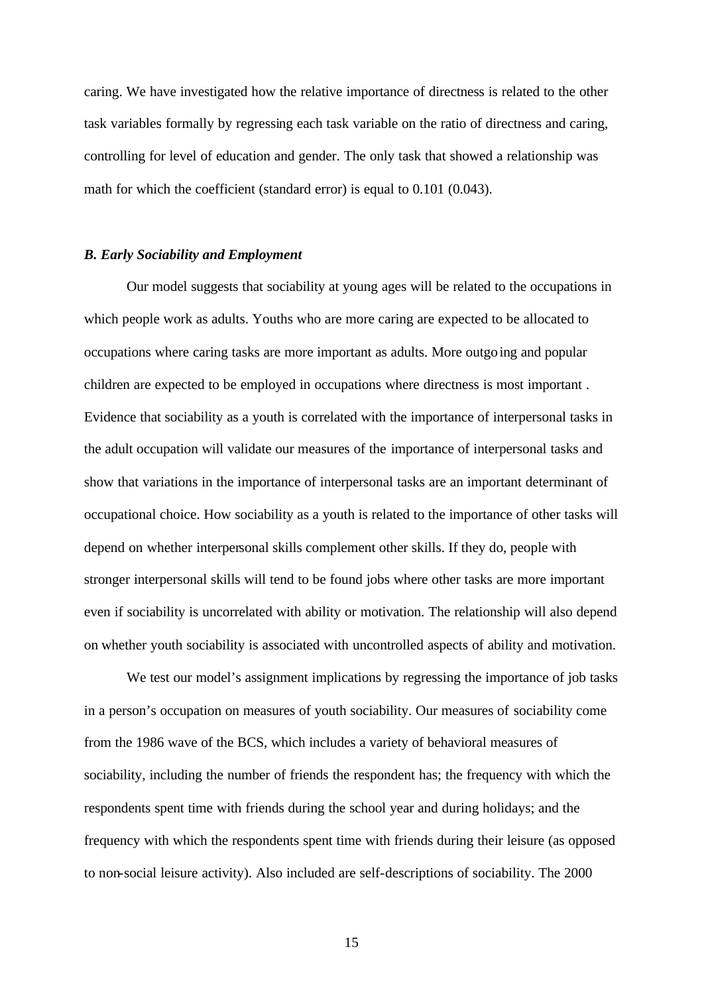caring. We have investigated how the relative importance of directness is related to the other task variables formally by regressing each task variable on the ratio of directness and caring, controlling for level of education and gender. The only task that showed a relationship was math for which the coefficient (standard error) is equal to 0.101 (0.043).

## *B. Early Sociability and Employment*

Our model suggests that sociability at young ages will be related to the occupations in which people work as adults. Youths who are more caring are expected to be allocated to occupations where caring tasks are more important as adults. More outgoing and popular children are expected to be employed in occupations where directness is most important . Evidence that sociability as a youth is correlated with the importance of interpersonal tasks in the adult occupation will validate our measures of the importance of interpersonal tasks and show that variations in the importance of interpersonal tasks are an important determinant of occupational choice. How sociability as a youth is related to the importance of other tasks will depend on whether interpersonal skills complement other skills. If they do, people with stronger interpersonal skills will tend to be found jobs where other tasks are more important even if sociability is uncorrelated with ability or motivation. The relationship will also depend on whether youth sociability is associated with uncontrolled aspects of ability and motivation.

We test our model's assignment implications by regressing the importance of job tasks in a person's occupation on measures of youth sociability. Our measures of sociability come from the 1986 wave of the BCS, which includes a variety of behavioral measures of sociability, including the number of friends the respondent has; the frequency with which the respondents spent time with friends during the school year and during holidays; and the frequency with which the respondents spent time with friends during their leisure (as opposed to non-social leisure activity). Also included are self-descriptions of sociability. The 2000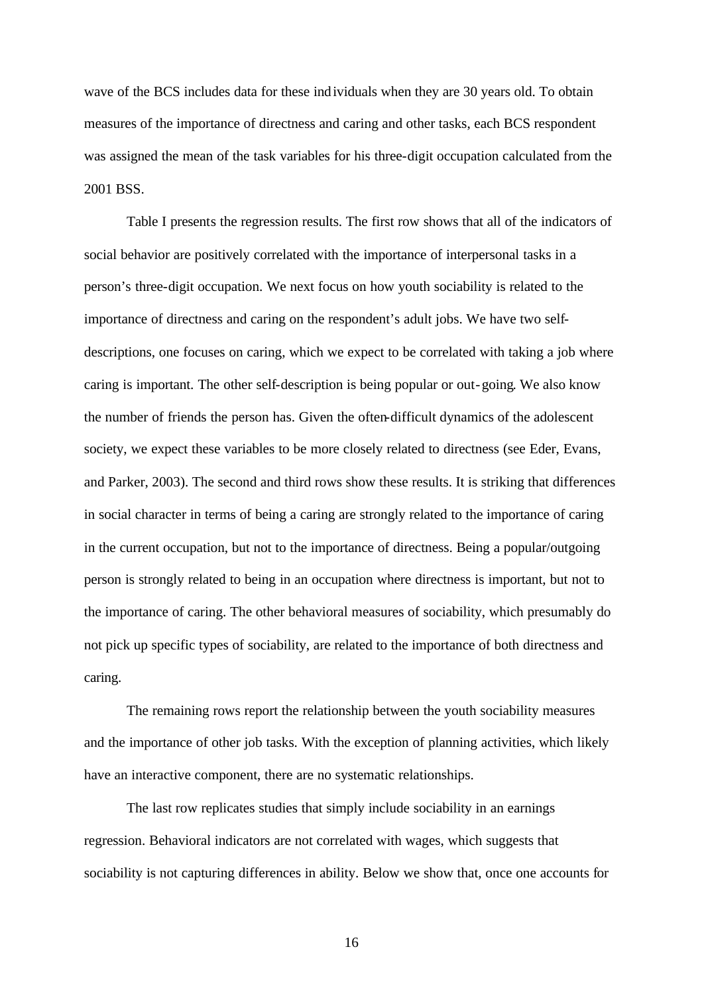wave of the BCS includes data for these individuals when they are 30 years old. To obtain measures of the importance of directness and caring and other tasks, each BCS respondent was assigned the mean of the task variables for his three-digit occupation calculated from the 2001 BSS.

Table I presents the regression results. The first row shows that all of the indicators of social behavior are positively correlated with the importance of interpersonal tasks in a person's three-digit occupation. We next focus on how youth sociability is related to the importance of directness and caring on the respondent's adult jobs. We have two selfdescriptions, one focuses on caring, which we expect to be correlated with taking a job where caring is important. The other self-description is being popular or out-going. We also know the number of friends the person has. Given the often-difficult dynamics of the adolescent society, we expect these variables to be more closely related to directness (see Eder, Evans, and Parker, 2003). The second and third rows show these results. It is striking that differences in social character in terms of being a caring are strongly related to the importance of caring in the current occupation, but not to the importance of directness. Being a popular/outgoing person is strongly related to being in an occupation where directness is important, but not to the importance of caring. The other behavioral measures of sociability, which presumably do not pick up specific types of sociability, are related to the importance of both directness and caring.

The remaining rows report the relationship between the youth sociability measures and the importance of other job tasks. With the exception of planning activities, which likely have an interactive component, there are no systematic relationships.

The last row replicates studies that simply include sociability in an earnings regression. Behavioral indicators are not correlated with wages, which suggests that sociability is not capturing differences in ability. Below we show that, once one accounts for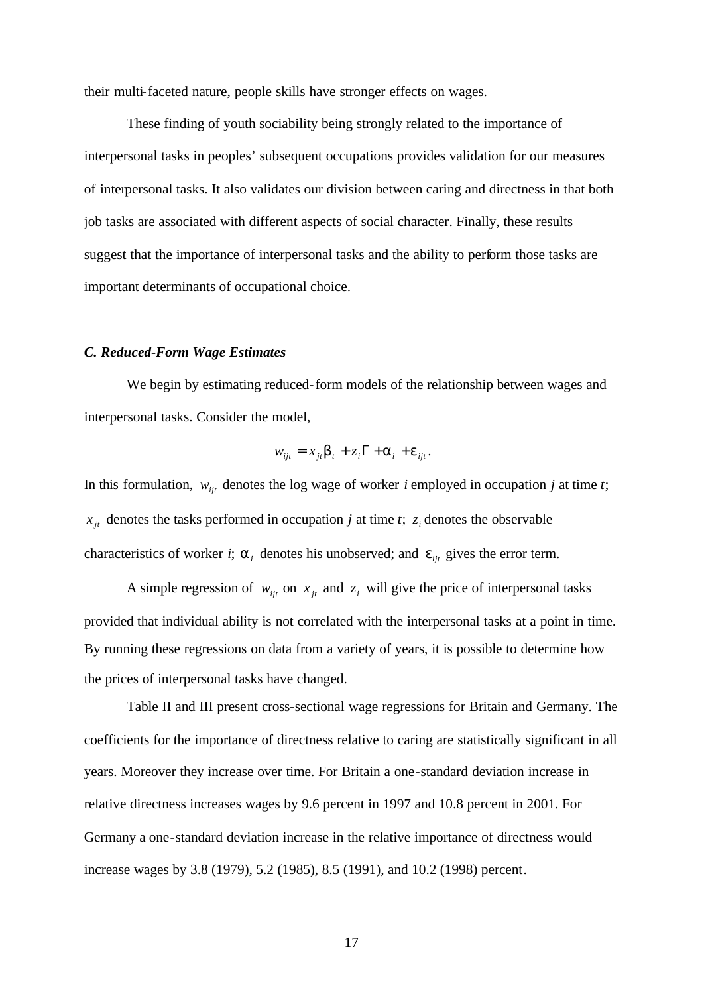their multi-faceted nature, people skills have stronger effects on wages.

These finding of youth sociability being strongly related to the importance of interpersonal tasks in peoples' subsequent occupations provides validation for our measures of interpersonal tasks. It also validates our division between caring and directness in that both job tasks are associated with different aspects of social character. Finally, these results suggest that the importance of interpersonal tasks and the ability to perform those tasks are important determinants of occupational choice.

## *C. Reduced-Form Wage Estimates*

We begin by estimating reduced-form models of the relationship between wages and interpersonal tasks. Consider the model,

$$
w_{ijt} = x_{jt} \mathbf{b}_t + z_i \Gamma + \mathbf{a}_i + \mathbf{e}_{ijt}.
$$

In this formulation,  $w_{ijt}$  denotes the log wage of worker *i* employed in occupation *j* at time *t*;  $x_{j_t}$  denotes the tasks performed in occupation *j* at time *t*;  $z_i$  denotes the observable characteristics of worker *i*;  $a_i$  denotes his unobserved; and  $e_{ijt}$  gives the error term.

A simple regression of  $w_{ijt}$  on  $x_{jt}$  and  $z_i$  will give the price of interpersonal tasks provided that individual ability is not correlated with the interpersonal tasks at a point in time. By running these regressions on data from a variety of years, it is possible to determine how the prices of interpersonal tasks have changed.

Table II and III present cross-sectional wage regressions for Britain and Germany. The coefficients for the importance of directness relative to caring are statistically significant in all years. Moreover they increase over time. For Britain a one-standard deviation increase in relative directness increases wages by 9.6 percent in 1997 and 10.8 percent in 2001. For Germany a one-standard deviation increase in the relative importance of directness would increase wages by 3.8 (1979), 5.2 (1985), 8.5 (1991), and 10.2 (1998) percent.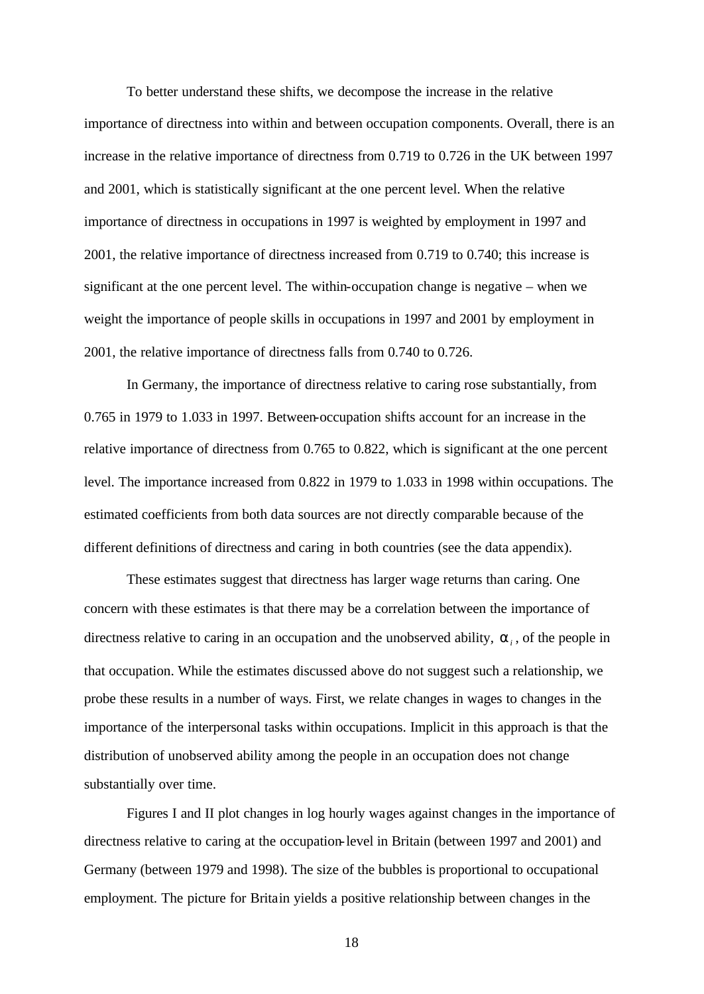To better understand these shifts, we decompose the increase in the relative importance of directness into within and between occupation components. Overall, there is an increase in the relative importance of directness from 0.719 to 0.726 in the UK between 1997 and 2001, which is statistically significant at the one percent level. When the relative importance of directness in occupations in 1997 is weighted by employment in 1997 and 2001, the relative importance of directness increased from 0.719 to 0.740; this increase is significant at the one percent level. The within-occupation change is negative – when we weight the importance of people skills in occupations in 1997 and 2001 by employment in 2001, the relative importance of directness falls from 0.740 to 0.726.

In Germany, the importance of directness relative to caring rose substantially, from 0.765 in 1979 to 1.033 in 1997. Between-occupation shifts account for an increase in the relative importance of directness from 0.765 to 0.822, which is significant at the one percent level. The importance increased from 0.822 in 1979 to 1.033 in 1998 within occupations. The estimated coefficients from both data sources are not directly comparable because of the different definitions of directness and caring in both countries (see the data appendix).

These estimates suggest that directness has larger wage returns than caring. One concern with these estimates is that there may be a correlation between the importance of directness relative to caring in an occupation and the unobserved ability, *a<sup>i</sup>* , of the people in that occupation. While the estimates discussed above do not suggest such a relationship, we probe these results in a number of ways. First, we relate changes in wages to changes in the importance of the interpersonal tasks within occupations. Implicit in this approach is that the distribution of unobserved ability among the people in an occupation does not change substantially over time.

Figures I and II plot changes in log hourly wages against changes in the importance of directness relative to caring at the occupation-level in Britain (between 1997 and 2001) and Germany (between 1979 and 1998). The size of the bubbles is proportional to occupational employment. The picture for Britain yields a positive relationship between changes in the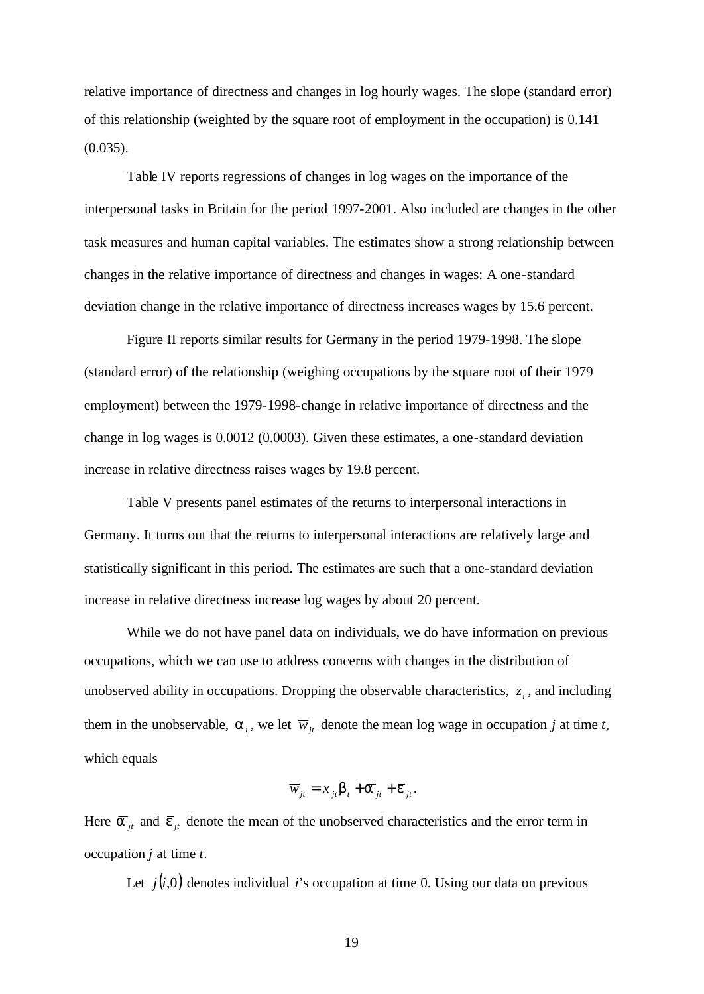relative importance of directness and changes in log hourly wages. The slope (standard error) of this relationship (weighted by the square root of employment in the occupation) is 0.141  $(0.035)$ .

Table IV reports regressions of changes in log wages on the importance of the interpersonal tasks in Britain for the period 1997-2001. Also included are changes in the other task measures and human capital variables. The estimates show a strong relationship between changes in the relative importance of directness and changes in wages: A one-standard deviation change in the relative importance of directness increases wages by 15.6 percent.

Figure II reports similar results for Germany in the period 1979-1998. The slope (standard error) of the relationship (weighing occupations by the square root of their 1979 employment) between the 1979-1998-change in relative importance of directness and the change in log wages is 0.0012 (0.0003). Given these estimates, a one-standard deviation increase in relative directness raises wages by 19.8 percent.

Table V presents panel estimates of the returns to interpersonal interactions in Germany. It turns out that the returns to interpersonal interactions are relatively large and statistically significant in this period. The estimates are such that a one-standard deviation increase in relative directness increase log wages by about 20 percent.

While we do not have panel data on individuals, we do have information on previous occupations, which we can use to address concerns with changes in the distribution of unobserved ability in occupations. Dropping the observable characteristics,  $z_i$ , and including them in the unobservable,  $a_i$ , we let  $\overline{w}_{jt}$  denote the mean log wage in occupation *j* at time *t*, which equals

$$
\overline{w}_{jt} = x_{jt} \boldsymbol{b}_t + \overline{\boldsymbol{a}}_{jt} + \overline{\boldsymbol{e}}_{jt}.
$$

Here  $\overline{a}_{it}$  and  $\overline{e}_{it}$  denote the mean of the unobserved characteristics and the error term in occupation *j* at time *t*.

Let  $j(i,0)$  denotes individual *i*'s occupation at time 0. Using our data on previous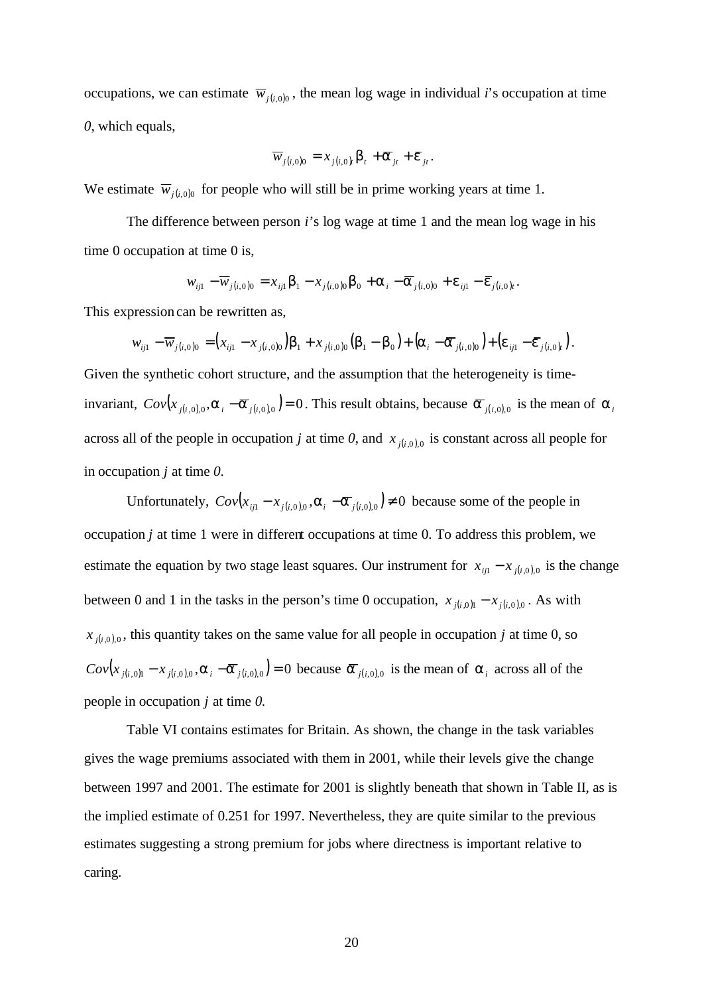occupations, we can estimate  $\overline{w}_{i(i,0)0}$ , the mean log wage in individual *i*'s occupation at time *0*, which equals,

$$
\overline{w}_{j(i,0)0} = x_{j(i,0)} \boldsymbol{b}_{t} + \overline{\boldsymbol{a}}_{jt} + \overline{\boldsymbol{e}}_{jt}.
$$

We estimate  $\overline{w}_{j(i,0)0}$  for people who will still be in prime working years at time 1.

The difference between person *i*'s log wage at time 1 and the mean log wage in his time 0 occupation at time 0 is,

$$
w_{ij1} - \overline{w}_{j(i,0)0} = x_{ij1} \mathbf{b}_1 - x_{j(i,0)0} \mathbf{b}_0 + \mathbf{a}_i - \overline{\mathbf{a}}_{j(i,0)0} + \mathbf{e}_{ij1} - \overline{\mathbf{e}}_{j(i,0)1}.
$$

This expression can be rewritten as,

$$
w_{ij1} - \overline{w}_{j(i,0)0} = (x_{ij1} - x_{j(i,0)0})\mathbf{b}_1 + x_{j(i,0)0}(\mathbf{b}_1 - \mathbf{b}_0) + (\mathbf{a}_i - \overline{\mathbf{a}}_{j(i,0)0}) + (\mathbf{e}_{ij1} - \overline{\mathbf{e}}_{j(i,0)})
$$

Given the synthetic cohort structure, and the assumption that the heterogeneity is timeinvariant,  $Cov(x_{j(i,0),0}, a_i - \overline{a}_{j(i,0),0}) = 0$ . This result obtains, because  $\overline{a}_{j(i,0),0}$  is the mean of  $a_i$ across all of the people in occupation *j* at time 0, and  $x_{j(i,0),0}$  is constant across all people for in occupation *j* at time *0*.

Unfortunately,  $Cov(x_{i} - x_{i(i,0),0}, a_i - a)$  *i*<sub>*i*</sub>,*i*,0,0 ≠ 0 because some of the people in occupation *j* at time 1 were in different occupations at time 0. To address this problem, we estimate the equation by two stage least squares. Our instrument for  $x_{ij1} - x_{j(i,0),0}$  is the change between 0 and 1 in the tasks in the person's time 0 occupation,  $x_{j(i,0)1} - x_{j(i,0)0}$ . As with  $x_{j(i,0),0}$ , this quantity takes on the same value for all people in occupation *j* at time 0, so  $Cov(x_{j(i,0)1} - x_{j(i,0)0}, \mathbf{a}_i - \overline{\mathbf{a}}_{j(i,0)0}) = 0$  because  $\overline{\mathbf{a}}_{j(i,0)0}$  is the mean of  $\mathbf{a}_i$  across all of the people in occupation *j* at time *0.*

Table VI contains estimates for Britain. As shown, the change in the task variables gives the wage premiums associated with them in 2001, while their levels give the change between 1997 and 2001. The estimate for 2001 is slightly beneath that shown in Table II, as is the implied estimate of 0.251 for 1997. Nevertheless, they are quite similar to the previous estimates suggesting a strong premium for jobs where directness is important relative to caring.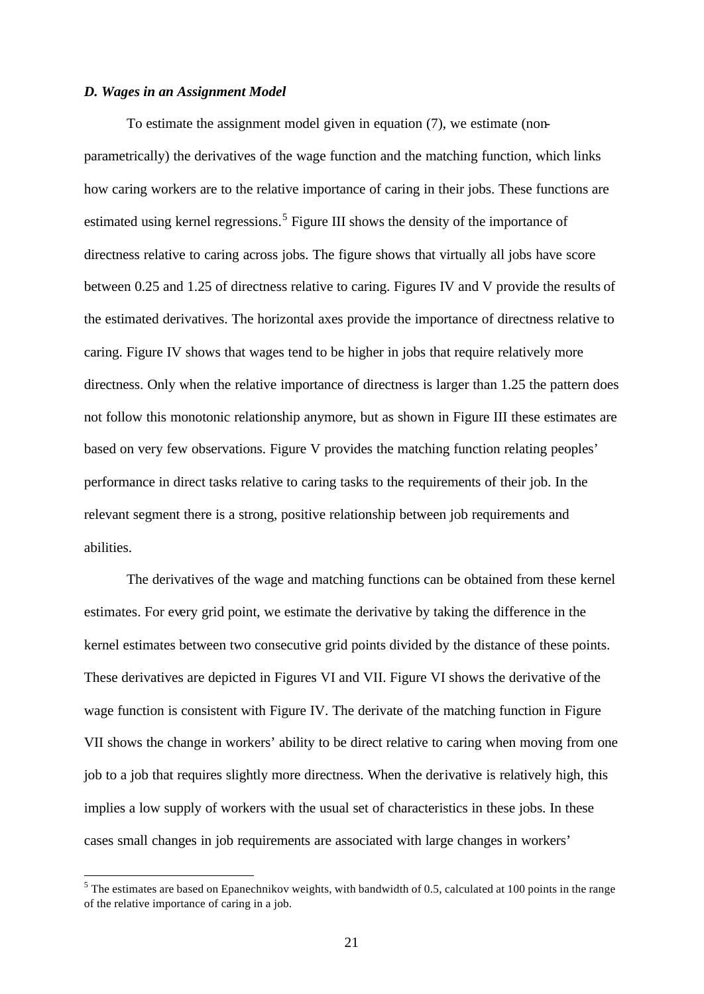## *D. Wages in an Assignment Model*

l

To estimate the assignment model given in equation (7), we estimate (nonparametrically) the derivatives of the wage function and the matching function, which links how caring workers are to the relative importance of caring in their jobs. These functions are estimated using kernel regressions.<sup>5</sup> Figure III shows the density of the importance of directness relative to caring across jobs. The figure shows that virtually all jobs have score between 0.25 and 1.25 of directness relative to caring. Figures IV and V provide the results of the estimated derivatives. The horizontal axes provide the importance of directness relative to caring. Figure IV shows that wages tend to be higher in jobs that require relatively more directness. Only when the relative importance of directness is larger than 1.25 the pattern does not follow this monotonic relationship anymore, but as shown in Figure III these estimates are based on very few observations. Figure V provides the matching function relating peoples' performance in direct tasks relative to caring tasks to the requirements of their job. In the relevant segment there is a strong, positive relationship between job requirements and abilities.

The derivatives of the wage and matching functions can be obtained from these kernel estimates. For every grid point, we estimate the derivative by taking the difference in the kernel estimates between two consecutive grid points divided by the distance of these points. These derivatives are depicted in Figures VI and VII. Figure VI shows the derivative of the wage function is consistent with Figure IV. The derivate of the matching function in Figure VII shows the change in workers' ability to be direct relative to caring when moving from one job to a job that requires slightly more directness. When the derivative is relatively high, this implies a low supply of workers with the usual set of characteristics in these jobs. In these cases small changes in job requirements are associated with large changes in workers'

 $<sup>5</sup>$  The estimates are based on Epanechnikov weights, with bandwidth of 0.5, calculated at 100 points in the range</sup> of the relative importance of caring in a job.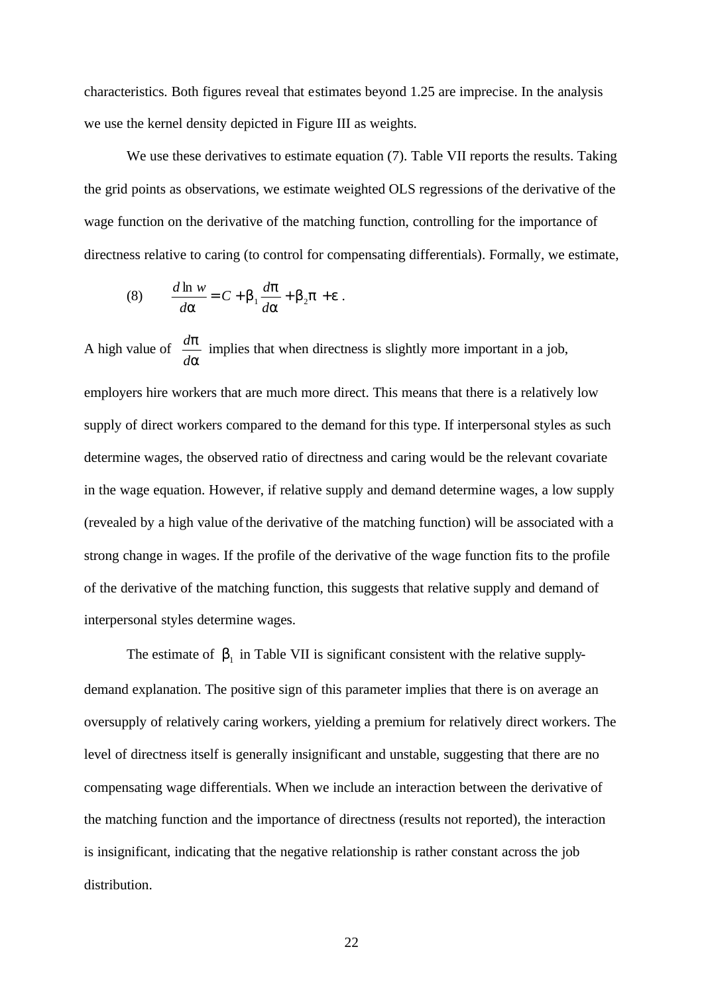characteristics. Both figures reveal that estimates beyond 1.25 are imprecise. In the analysis we use the kernel density depicted in Figure III as weights.

We use these derivatives to estimate equation (7). Table VII reports the results. Taking the grid points as observations, we estimate weighted OLS regressions of the derivative of the wage function on the derivative of the matching function, controlling for the importance of directness relative to caring (to control for compensating differentials). Formally, we estimate,

(8) 
$$
\frac{d \ln w}{d \mathbf{a}} = C + \mathbf{b}_1 \frac{d \mathbf{p}}{d \mathbf{a}} + \mathbf{b}_2 \mathbf{p} + \mathbf{e}.
$$

A high value of *a p d*  $\frac{d\mathbf{p}}{dt}$  implies that when directness is slightly more important in a job, employers hire workers that are much more direct. This means that there is a relatively low supply of direct workers compared to the demand for this type. If interpersonal styles as such determine wages, the observed ratio of directness and caring would be the relevant covariate in the wage equation. However, if relative supply and demand determine wages, a low supply (revealed by a high value of the derivative of the matching function) will be associated with a strong change in wages. If the profile of the derivative of the wage function fits to the profile of the derivative of the matching function, this suggests that relative supply and demand of interpersonal styles determine wages.

The estimate of  $\mathbf{b}_1$  in Table VII is significant consistent with the relative supplydemand explanation. The positive sign of this parameter implies that there is on average an oversupply of relatively caring workers, yielding a premium for relatively direct workers. The level of directness itself is generally insignificant and unstable, suggesting that there are no compensating wage differentials. When we include an interaction between the derivative of the matching function and the importance of directness (results not reported), the interaction is insignificant, indicating that the negative relationship is rather constant across the job distribution.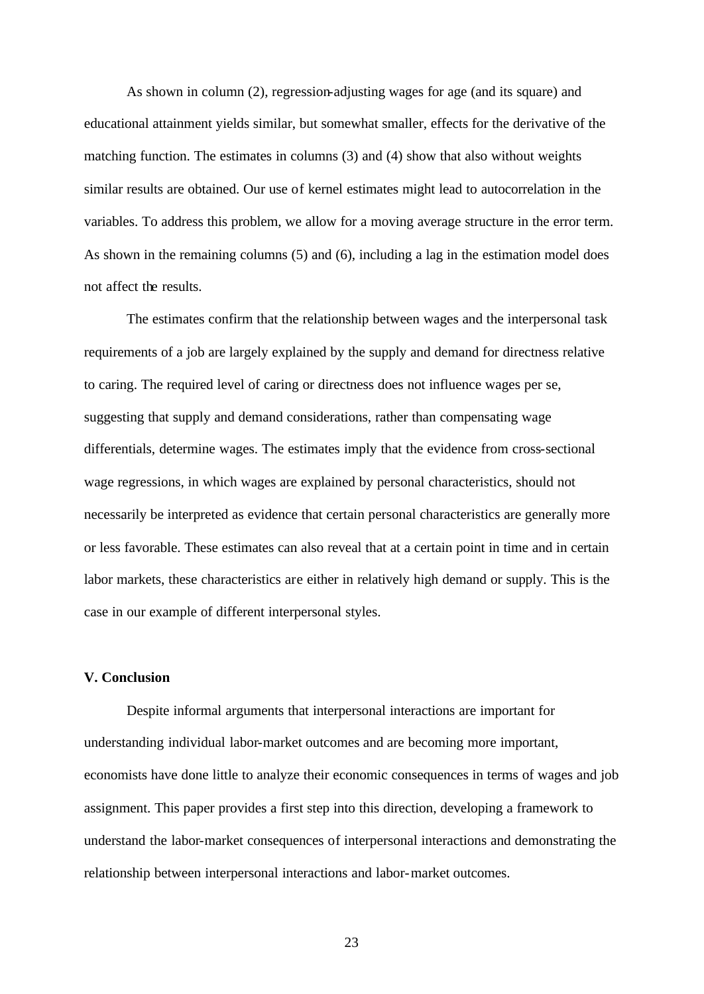As shown in column (2), regression-adjusting wages for age (and its square) and educational attainment yields similar, but somewhat smaller, effects for the derivative of the matching function. The estimates in columns (3) and (4) show that also without weights similar results are obtained. Our use of kernel estimates might lead to autocorrelation in the variables. To address this problem, we allow for a moving average structure in the error term. As shown in the remaining columns (5) and (6), including a lag in the estimation model does not affect the results.

The estimates confirm that the relationship between wages and the interpersonal task requirements of a job are largely explained by the supply and demand for directness relative to caring. The required level of caring or directness does not influence wages per se, suggesting that supply and demand considerations, rather than compensating wage differentials, determine wages. The estimates imply that the evidence from cross-sectional wage regressions, in which wages are explained by personal characteristics, should not necessarily be interpreted as evidence that certain personal characteristics are generally more or less favorable. These estimates can also reveal that at a certain point in time and in certain labor markets, these characteristics are either in relatively high demand or supply. This is the case in our example of different interpersonal styles.

## **V. Conclusion**

Despite informal arguments that interpersonal interactions are important for understanding individual labor-market outcomes and are becoming more important, economists have done little to analyze their economic consequences in terms of wages and job assignment. This paper provides a first step into this direction, developing a framework to understand the labor-market consequences of interpersonal interactions and demonstrating the relationship between interpersonal interactions and labor-market outcomes.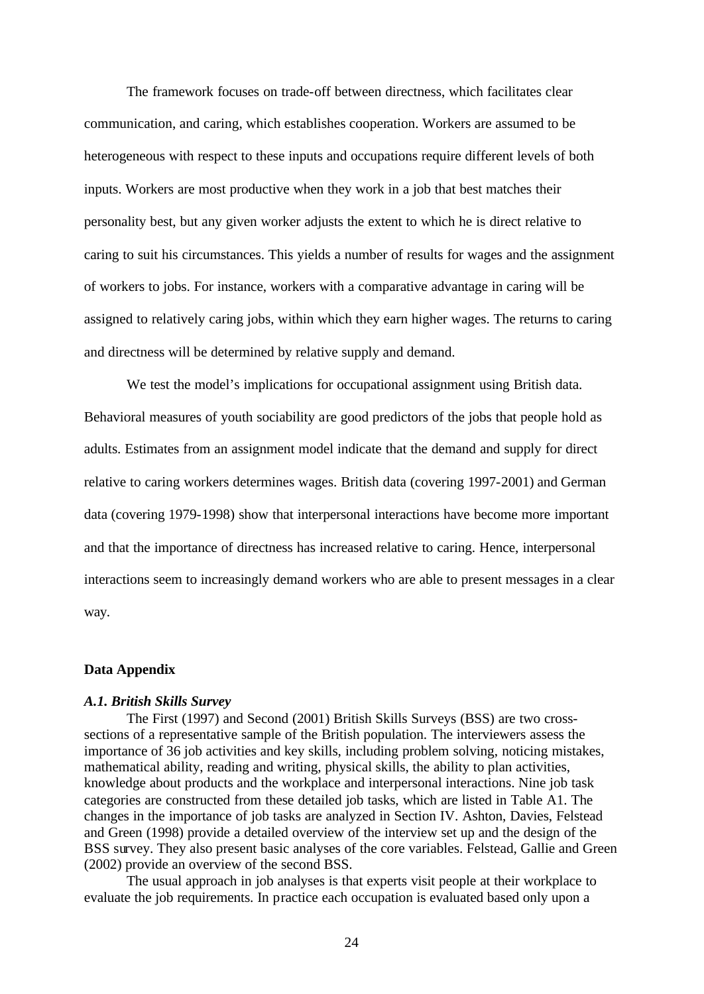The framework focuses on trade-off between directness, which facilitates clear communication, and caring, which establishes cooperation. Workers are assumed to be heterogeneous with respect to these inputs and occupations require different levels of both inputs. Workers are most productive when they work in a job that best matches their personality best, but any given worker adjusts the extent to which he is direct relative to caring to suit his circumstances. This yields a number of results for wages and the assignment of workers to jobs. For instance, workers with a comparative advantage in caring will be assigned to relatively caring jobs, within which they earn higher wages. The returns to caring and directness will be determined by relative supply and demand.

We test the model's implications for occupational assignment using British data. Behavioral measures of youth sociability are good predictors of the jobs that people hold as adults. Estimates from an assignment model indicate that the demand and supply for direct relative to caring workers determines wages. British data (covering 1997-2001) and German data (covering 1979-1998) show that interpersonal interactions have become more important and that the importance of directness has increased relative to caring. Hence, interpersonal interactions seem to increasingly demand workers who are able to present messages in a clear way.

#### **Data Appendix**

#### *A.1. British Skills Survey*

The First (1997) and Second (2001) British Skills Surveys (BSS) are two crosssections of a representative sample of the British population. The interviewers assess the importance of 36 job activities and key skills, including problem solving, noticing mistakes, mathematical ability, reading and writing, physical skills, the ability to plan activities, knowledge about products and the workplace and interpersonal interactions. Nine job task categories are constructed from these detailed job tasks, which are listed in Table A1. The changes in the importance of job tasks are analyzed in Section IV. Ashton, Davies, Felstead and Green (1998) provide a detailed overview of the interview set up and the design of the BSS survey. They also present basic analyses of the core variables. Felstead, Gallie and Green (2002) provide an overview of the second BSS.

The usual approach in job analyses is that experts visit people at their workplace to evaluate the job requirements. In practice each occupation is evaluated based only upon a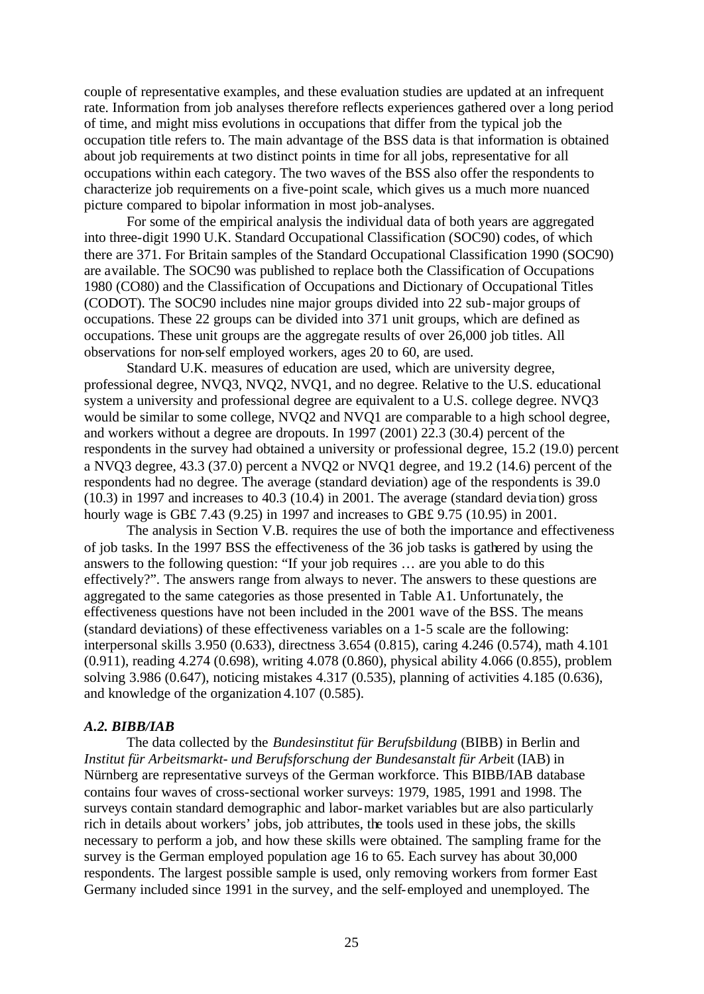couple of representative examples, and these evaluation studies are updated at an infrequent rate. Information from job analyses therefore reflects experiences gathered over a long period of time, and might miss evolutions in occupations that differ from the typical job the occupation title refers to. The main advantage of the BSS data is that information is obtained about job requirements at two distinct points in time for all jobs, representative for all occupations within each category. The two waves of the BSS also offer the respondents to characterize job requirements on a five-point scale, which gives us a much more nuanced picture compared to bipolar information in most job-analyses.

For some of the empirical analysis the individual data of both years are aggregated into three-digit 1990 U.K. Standard Occupational Classification (SOC90) codes, of which there are 371. For Britain samples of the Standard Occupational Classification 1990 (SOC90) are available. The SOC90 was published to replace both the Classification of Occupations 1980 (CO80) and the Classification of Occupations and Dictionary of Occupational Titles (CODOT). The SOC90 includes nine major groups divided into 22 sub-major groups of occupations. These 22 groups can be divided into 371 unit groups, which are defined as occupations. These unit groups are the aggregate results of over 26,000 job titles. All observations for non-self employed workers, ages 20 to 60, are used.

Standard U.K. measures of education are used, which are university degree, professional degree, NVQ3, NVQ2, NVQ1, and no degree. Relative to the U.S. educational system a university and professional degree are equivalent to a U.S. college degree. NVQ3 would be similar to some college, NVQ2 and NVQ1 are comparable to a high school degree, and workers without a degree are dropouts. In 1997 (2001) 22.3 (30.4) percent of the respondents in the survey had obtained a university or professional degree, 15.2 (19.0) percent a NVQ3 degree, 43.3 (37.0) percent a NVQ2 or NVQ1 degree, and 19.2 (14.6) percent of the respondents had no degree. The average (standard deviation) age of the respondents is 39.0 (10.3) in 1997 and increases to 40.3 (10.4) in 2001. The average (standard devia tion) gross hourly wage is GB£ 7.43 (9.25) in 1997 and increases to GB£ 9.75 (10.95) in 2001.

The analysis in Section V.B. requires the use of both the importance and effectiveness of job tasks. In the 1997 BSS the effectiveness of the 36 job tasks is gathered by using the answers to the following question: "If your job requires … are you able to do this effectively?". The answers range from always to never. The answers to these questions are aggregated to the same categories as those presented in Table A1. Unfortunately, the effectiveness questions have not been included in the 2001 wave of the BSS. The means (standard deviations) of these effectiveness variables on a 1-5 scale are the following: interpersonal skills 3.950 (0.633), directness 3.654 (0.815), caring 4.246 (0.574), math 4.101 (0.911), reading 4.274 (0.698), writing 4.078 (0.860), physical ability 4.066 (0.855), problem solving 3.986 (0.647), noticing mistakes 4.317 (0.535), planning of activities 4.185 (0.636), and knowledge of the organization 4.107 (0.585).

## *A.2. BIBB/IAB*

The data collected by the *Bundesinstitut für Berufsbildung* (BIBB) in Berlin and *Institut für Arbeitsmarkt- und Berufsforschung der Bundesanstalt für Arbe*it (IAB) in Nürnberg are representative surveys of the German workforce. This BIBB/IAB database contains four waves of cross-sectional worker surveys: 1979, 1985, 1991 and 1998. The surveys contain standard demographic and labor-market variables but are also particularly rich in details about workers' jobs, job attributes, the tools used in these jobs, the skills necessary to perform a job, and how these skills were obtained. The sampling frame for the survey is the German employed population age 16 to 65. Each survey has about 30,000 respondents. The largest possible sample is used, only removing workers from former East Germany included since 1991 in the survey, and the self-employed and unemployed. The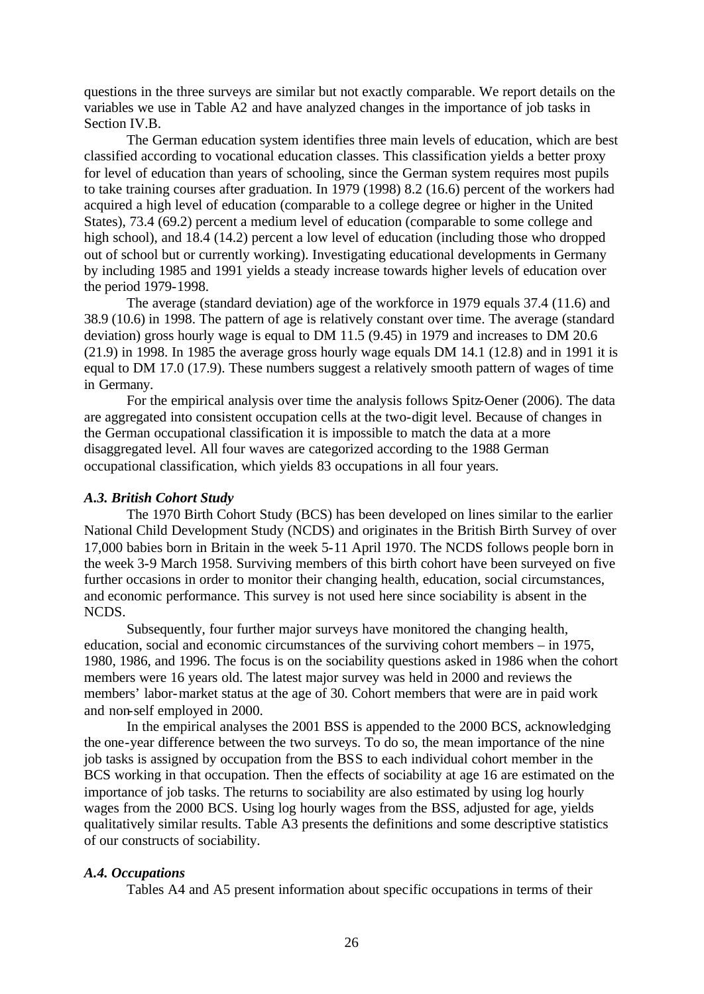questions in the three surveys are similar but not exactly comparable. We report details on the variables we use in Table A2 and have analyzed changes in the importance of job tasks in Section IV.B.

The German education system identifies three main levels of education, which are best classified according to vocational education classes. This classification yields a better proxy for level of education than years of schooling, since the German system requires most pupils to take training courses after graduation. In 1979 (1998) 8.2 (16.6) percent of the workers had acquired a high level of education (comparable to a college degree or higher in the United States), 73.4 (69.2) percent a medium level of education (comparable to some college and high school), and 18.4 (14.2) percent a low level of education (including those who dropped out of school but or currently working). Investigating educational developments in Germany by including 1985 and 1991 yields a steady increase towards higher levels of education over the period 1979-1998.

The average (standard deviation) age of the workforce in 1979 equals 37.4 (11.6) and 38.9 (10.6) in 1998. The pattern of age is relatively constant over time. The average (standard deviation) gross hourly wage is equal to DM 11.5 (9.45) in 1979 and increases to DM 20.6  $(21.9)$  in 1998. In 1985 the average gross hourly wage equals DM 14.1 (12.8) and in 1991 it is equal to DM 17.0 (17.9). These numbers suggest a relatively smooth pattern of wages of time in Germany.

For the empirical analysis over time the analysis follows Spitz-Oener (2006). The data are aggregated into consistent occupation cells at the two-digit level. Because of changes in the German occupational classification it is impossible to match the data at a more disaggregated level. All four waves are categorized according to the 1988 German occupational classification, which yields 83 occupations in all four years.

## *A.3. British Cohort Study*

The 1970 Birth Cohort Study (BCS) has been developed on lines similar to the earlier National Child Development Study (NCDS) and originates in the British Birth Survey of over 17,000 babies born in Britain in the week 5-11 April 1970. The NCDS follows people born in the week 3-9 March 1958. Surviving members of this birth cohort have been surveyed on five further occasions in order to monitor their changing health, education, social circumstances, and economic performance. This survey is not used here since sociability is absent in the NCDS.

Subsequently, four further major surveys have monitored the changing health, education, social and economic circumstances of the surviving cohort members – in 1975, 1980, 1986, and 1996. The focus is on the sociability questions asked in 1986 when the cohort members were 16 years old. The latest major survey was held in 2000 and reviews the members' labor-market status at the age of 30. Cohort members that were are in paid work and non-self employed in 2000.

In the empirical analyses the 2001 BSS is appended to the 2000 BCS, acknowledging the one-year difference between the two surveys. To do so, the mean importance of the nine job tasks is assigned by occupation from the BSS to each individual cohort member in the BCS working in that occupation. Then the effects of sociability at age 16 are estimated on the importance of job tasks. The returns to sociability are also estimated by using log hourly wages from the 2000 BCS. Using log hourly wages from the BSS, adjusted for age, yields qualitatively similar results. Table A3 presents the definitions and some descriptive statistics of our constructs of sociability.

#### *A.4. Occupations*

Tables A4 and A5 present information about specific occupations in terms of their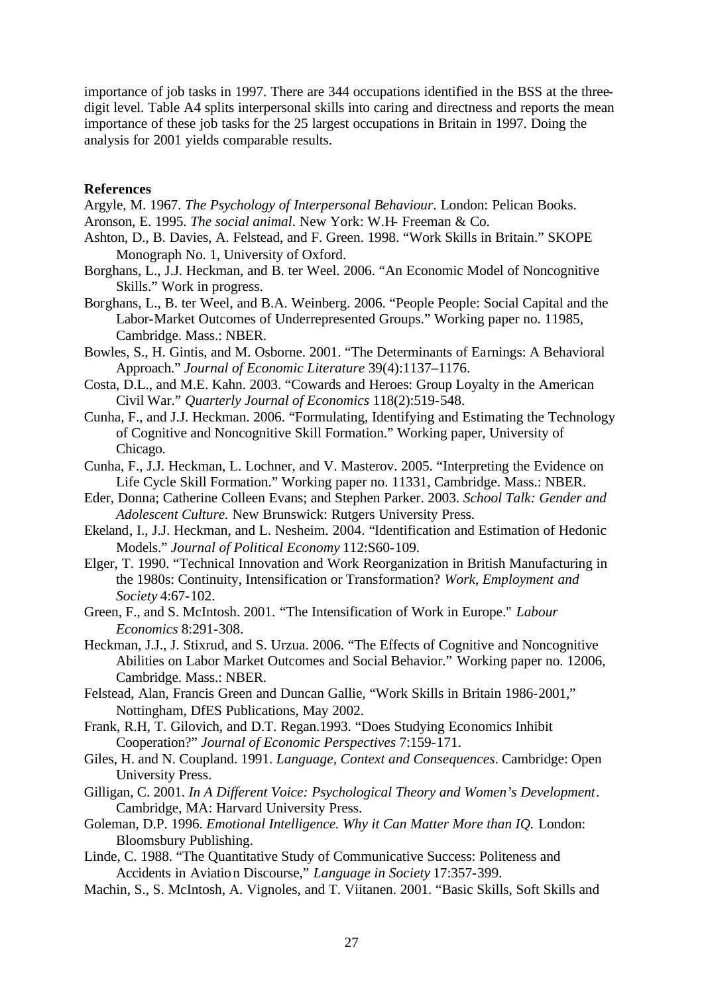importance of job tasks in 1997. There are 344 occupations identified in the BSS at the threedigit level. Table A4 splits interpersonal skills into caring and directness and reports the mean importance of these job tasks for the 25 largest occupations in Britain in 1997. Doing the analysis for 2001 yields comparable results.

## **References**

- Argyle, M. 1967. *The Psychology of Interpersonal Behaviour*. London: Pelican Books.
- Aronson, E. 1995. *The social animal*. New York: W.H- Freeman & Co.
- Ashton, D., B. Davies, A. Felstead, and F. Green. 1998. "Work Skills in Britain." SKOPE Monograph No. 1, University of Oxford.
- Borghans, L., J.J. Heckman, and B. ter Weel. 2006. "An Economic Model of Noncognitive Skills." Work in progress.
- Borghans, L., B. ter Weel, and B.A. Weinberg. 2006. "People People: Social Capital and the Labor-Market Outcomes of Underrepresented Groups." Working paper no. 11985, Cambridge. Mass.: NBER.
- Bowles, S., H. Gintis, and M. Osborne. 2001. "The Determinants of Earnings: A Behavioral Approach." *Journal of Economic Literature* 39(4):1137–1176.
- Costa, D.L., and M.E. Kahn. 2003. "Cowards and Heroes: Group Loyalty in the American Civil War." *Quarterly Journal of Economics* 118(2):519-548.
- Cunha, F., and J.J. Heckman. 2006. "Formulating, Identifying and Estimating the Technology of Cognitive and Noncognitive Skill Formation." Working paper, University of Chicago.
- Cunha, F., J.J. Heckman, L. Lochner, and V. Masterov. 2005. "Interpreting the Evidence on Life Cycle Skill Formation." Working paper no. 11331, Cambridge. Mass.: NBER.
- Eder, Donna; Catherine Colleen Evans; and Stephen Parker. 2003. *School Talk: Gender and Adolescent Culture.* New Brunswick: Rutgers University Press.
- Ekeland, I., J.J. Heckman, and L. Nesheim. 2004. "Identification and Estimation of Hedonic Models." *Journal of Political Economy* 112:S60-109.
- Elger, T. 1990. "Technical Innovation and Work Reorganization in British Manufacturing in the 1980s: Continuity, Intensification or Transformation? *Work, Employment and Society* 4:67-102.
- Green, F., and S. McIntosh. 2001. "The Intensification of Work in Europe." *Labour Economics* 8:291-308.
- Heckman, J.J., J. Stixrud, and S. Urzua. 2006. "The Effects of Cognitive and Noncognitive Abilities on Labor Market Outcomes and Social Behavior." Working paper no. 12006, Cambridge. Mass.: NBER.
- Felstead, Alan, Francis Green and Duncan Gallie, "Work Skills in Britain 1986-2001," Nottingham, DfES Publications, May 2002.
- Frank, R.H, T. Gilovich, and D.T. Regan.1993. "Does Studying Economics Inhibit Cooperation?" *Journal of Economic Perspectives* 7:159-171.
- Giles, H. and N. Coupland. 1991. *Language, Context and Consequences*. Cambridge: Open University Press.
- Gilligan, C. 2001. *In A Different Voice: Psychological Theory and Women's Development*. Cambridge, MA: Harvard University Press.
- Goleman, D.P. 1996. *Emotional Intelligence. Why it Can Matter More than IQ.* London: Bloomsbury Publishing.
- Linde, C. 1988. "The Quantitative Study of Communicative Success: Politeness and Accidents in Aviation Discourse," *Language in Society* 17:357-399.
- Machin, S., S. McIntosh, A. Vignoles, and T. Viitanen. 2001. "Basic Skills, Soft Skills and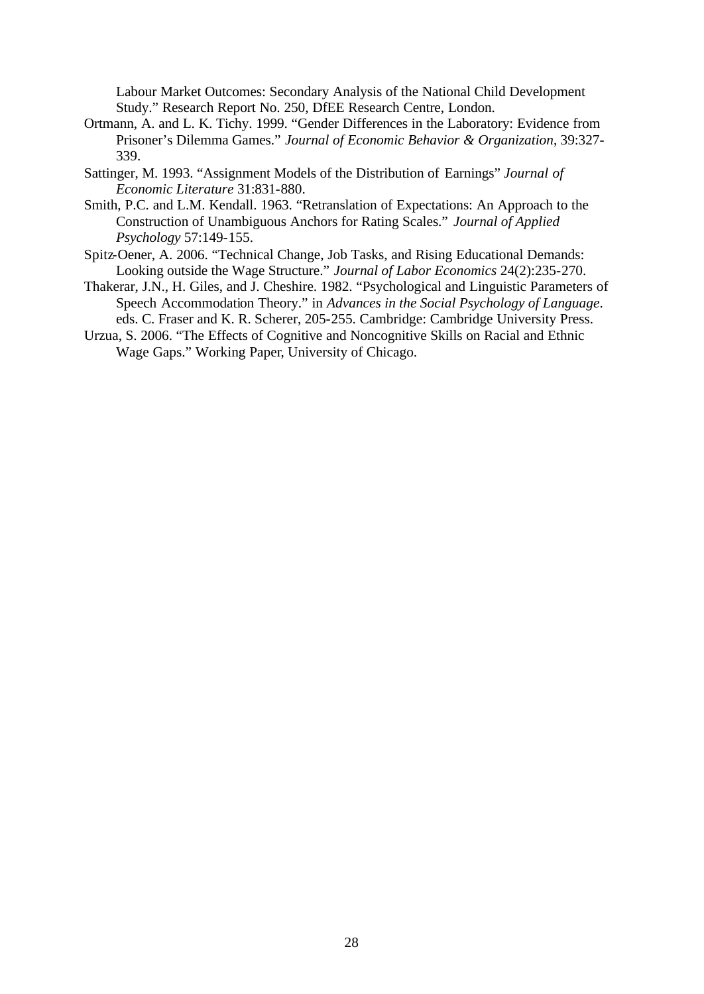Labour Market Outcomes: Secondary Analysis of the National Child Development Study." Research Report No. 250, DfEE Research Centre, London.

- Ortmann, A. and L. K. Tichy. 1999. "Gender Differences in the Laboratory: Evidence from Prisoner's Dilemma Games." *Journal of Economic Behavior & Organization*, 39:327- 339.
- Sattinger, M. 1993. "Assignment Models of the Distribution of Earnings" *Journal of Economic Literature* 31:831-880.
- Smith, P.C. and L.M. Kendall. 1963. "Retranslation of Expectations: An Approach to the Construction of Unambiguous Anchors for Rating Scales." *Journal of Applied Psychology* 57:149-155.
- Spitz-Oener, A. 2006. "Technical Change, Job Tasks, and Rising Educational Demands: Looking outside the Wage Structure." *Journal of Labor Economics* 24(2):235-270.
- Thakerar, J.N., H. Giles, and J. Cheshire. 1982. "Psychological and Linguistic Parameters of Speech Accommodation Theory." in *Advances in the Social Psychology of Language*. eds. C. Fraser and K. R. Scherer, 205-255. Cambridge: Cambridge University Press.
- Urzua, S. 2006. "The Effects of Cognitive and Noncognitive Skills on Racial and Ethnic Wage Gaps." Working Paper, University of Chicago.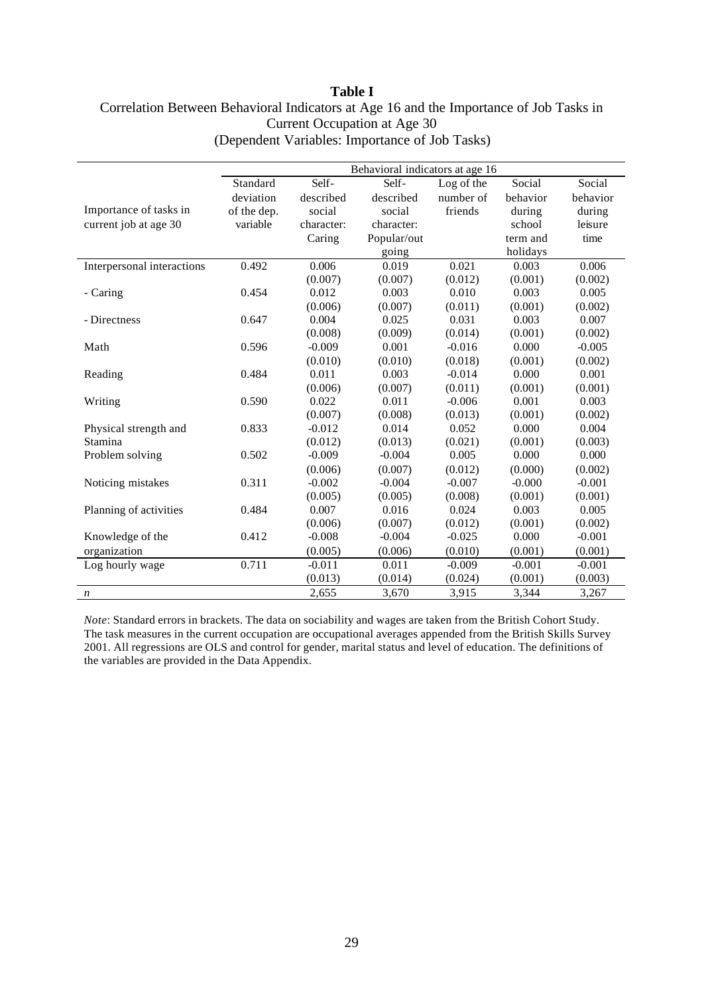## **Table I** Correlation Between Behavioral Indicators at Age 16 and the Importance of Job Tasks in Current Occupation at Age 30 (Dependent Variables: Importance of Job Tasks)

|                            |             |            | Behavioral indicators at age 16 |            |          |          |
|----------------------------|-------------|------------|---------------------------------|------------|----------|----------|
|                            | Standard    | Self-      | Self-                           | Log of the | Social   | Social   |
|                            | deviation   | described  | described                       | number of  | behavior | behavior |
| Importance of tasks in     | of the dep. | social     | social                          | friends    | during   | during   |
| current job at age 30      | variable    | character: | character:                      |            | school   | leisure  |
|                            |             | Caring     | Popular/out                     |            | term and | time     |
|                            |             |            | going                           |            | holidays |          |
| Interpersonal interactions | 0.492       | 0.006      | 0.019                           | 0.021      | 0.003    | 0.006    |
|                            |             | (0.007)    | (0.007)                         | (0.012)    | (0.001)  | (0.002)  |
| - Caring                   | 0.454       | 0.012      | 0.003                           | 0.010      | 0.003    | 0.005    |
|                            |             | (0.006)    | (0.007)                         | (0.011)    | (0.001)  | (0.002)  |
| - Directness               | 0.647       | 0.004      | 0.025                           | 0.031      | 0.003    | 0.007    |
|                            |             | (0.008)    | (0.009)                         | (0.014)    | (0.001)  | (0.002)  |
| Math                       | 0.596       | $-0.009$   | 0.001                           | $-0.016$   | 0.000    | $-0.005$ |
|                            |             | (0.010)    | (0.010)                         | (0.018)    | (0.001)  | (0.002)  |
| Reading                    | 0.484       | 0.011      | 0.003                           | $-0.014$   | 0.000    | 0.001    |
|                            |             | (0.006)    | (0.007)                         | (0.011)    | (0.001)  | (0.001)  |
| Writing                    | 0.590       | 0.022      | 0.011                           | $-0.006$   | 0.001    | 0.003    |
|                            |             | (0.007)    | (0.008)                         | (0.013)    | (0.001)  | (0.002)  |
| Physical strength and      | 0.833       | $-0.012$   | 0.014                           | 0.052      | 0.000    | 0.004    |
| Stamina                    |             | (0.012)    | (0.013)                         | (0.021)    | (0.001)  | (0.003)  |
| Problem solving            | 0.502       | $-0.009$   | $-0.004$                        | 0.005      | 0.000    | 0.000    |
|                            |             | (0.006)    | (0.007)                         | (0.012)    | (0.000)  | (0.002)  |
| Noticing mistakes          | 0.311       | $-0.002$   | $-0.004$                        | $-0.007$   | $-0.000$ | $-0.001$ |
|                            |             | (0.005)    | (0.005)                         | (0.008)    | (0.001)  | (0.001)  |
| Planning of activities     | 0.484       | 0.007      | 0.016                           | 0.024      | 0.003    | 0.005    |
|                            |             | (0.006)    | (0.007)                         | (0.012)    | (0.001)  | (0.002)  |
| Knowledge of the           | 0.412       | $-0.008$   | $-0.004$                        | $-0.025$   | 0.000    | $-0.001$ |
| organization               |             | (0.005)    | (0.006)                         | (0.010)    | (0.001)  | (0.001)  |
| Log hourly wage            | 0.711       | $-0.011$   | 0.011                           | $-0.009$   | $-0.001$ | $-0.001$ |
|                            |             | (0.013)    | (0.014)                         | (0.024)    | (0.001)  | (0.003)  |
| $\boldsymbol{n}$           |             | 2,655      | 3,670                           | 3,915      | 3,344    | 3,267    |

*Note*: Standard errors in brackets. The data on sociability and wages are taken from the British Cohort Study. The task measures in the current occupation are occupational averages appended from the British Skills Survey 2001. All regressions are OLS and control for gender, marital status and level of education. The definitions of the variables are provided in the Data Appendix.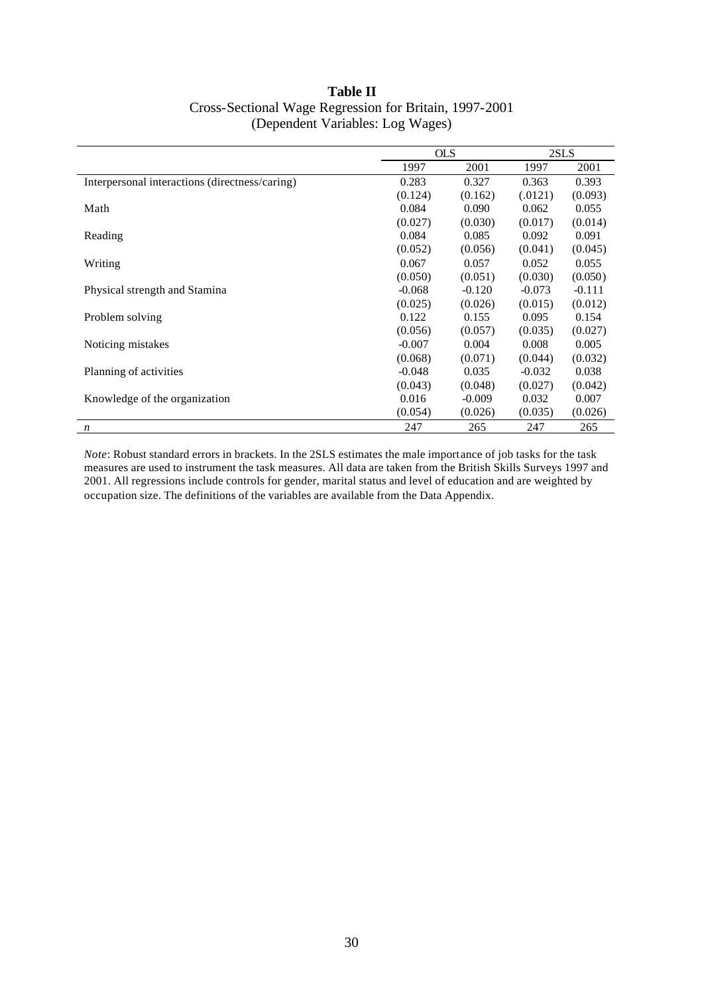| <b>Table II</b>                                        |
|--------------------------------------------------------|
| Cross-Sectional Wage Regression for Britain, 1997-2001 |
| (Dependent Variables: Log Wages)                       |

|                                                | <b>OLS</b> |          | 2SLS     |          |
|------------------------------------------------|------------|----------|----------|----------|
|                                                | 1997       | 2001     | 1997     | 2001     |
| Interpersonal interactions (directness/caring) | 0.283      | 0.327    | 0.363    | 0.393    |
|                                                | (0.124)    | (0.162)  | (.0121)  | (0.093)  |
| Math                                           | 0.084      | 0.090    | 0.062    | 0.055    |
|                                                | (0.027)    | (0.030)  | (0.017)  | (0.014)  |
| Reading                                        | 0.084      | 0.085    | 0.092    | 0.091    |
|                                                | (0.052)    | (0.056)  | (0.041)  | (0.045)  |
| Writing                                        | 0.067      | 0.057    | 0.052    | 0.055    |
|                                                | (0.050)    | (0.051)  | (0.030)  | (0.050)  |
| Physical strength and Stamina                  | $-0.068$   | $-0.120$ | $-0.073$ | $-0.111$ |
|                                                | (0.025)    | (0.026)  | (0.015)  | (0.012)  |
| Problem solving                                | 0.122      | 0.155    | 0.095    | 0.154    |
|                                                | (0.056)    | (0.057)  | (0.035)  | (0.027)  |
| Noticing mistakes                              | $-0.007$   | 0.004    | 0.008    | 0.005    |
|                                                | (0.068)    | (0.071)  | (0.044)  | (0.032)  |
| Planning of activities                         | $-0.048$   | 0.035    | $-0.032$ | 0.038    |
|                                                | (0.043)    | (0.048)  | (0.027)  | (0.042)  |
| Knowledge of the organization                  | 0.016      | $-0.009$ | 0.032    | 0.007    |
|                                                | (0.054)    | (0.026)  | (0.035)  | (0.026)  |
| $\boldsymbol{n}$                               | 247        | 265      | 247      | 265      |

*Note*: Robust standard errors in brackets. In the 2SLS estimates the male importance of job tasks for the task measures are used to instrument the task measures. All data are taken from the British Skills Surveys 1997 and 2001. All regressions include controls for gender, marital status and level of education and are weighted by occupation size. The definitions of the variables are available from the Data Appendix.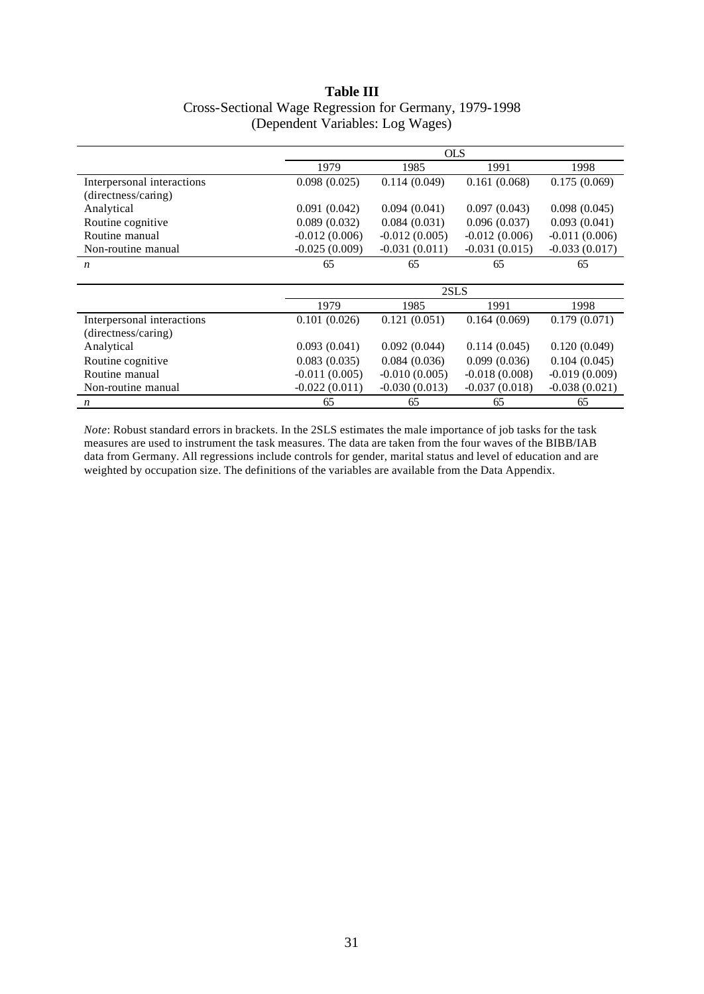## **Table III** Cross-Sectional Wage Regression for Germany, 1979-1998 (Dependent Variables: Log Wages)

|                            | <b>OLS</b>      |                 |                 |                 |  |
|----------------------------|-----------------|-----------------|-----------------|-----------------|--|
|                            | 1979            | 1985            | 1991            | 1998            |  |
| Interpersonal interactions | 0.098(0.025)    | 0.114(0.049)    | 0.161(0.068)    | 0.175(0.069)    |  |
| (directness/caring)        |                 |                 |                 |                 |  |
| Analytical                 | 0.091(0.042)    | 0.094(0.041)    | 0.097(0.043)    | 0.098(0.045)    |  |
| Routine cognitive          | 0.089(0.032)    | 0.084(0.031)    | 0.096(0.037)    | 0.093(0.041)    |  |
| Routine manual             | $-0.012(0.006)$ | $-0.012(0.005)$ | $-0.012(0.006)$ | $-0.011(0.006)$ |  |
| Non-routine manual         | $-0.025(0.009)$ | $-0.031(0.011)$ | $-0.031(0.015)$ | $-0.033(0.017)$ |  |
| $\boldsymbol{n}$           | 65              | 65              | 65              | 65              |  |
|                            |                 |                 |                 |                 |  |
|                            |                 | 2SLS            |                 |                 |  |
|                            | 1979            | 1985            | 1991            | 1998            |  |
| Interpersonal interactions | 0.101(0.026)    | 0.121(0.051)    | 0.164(0.069)    | 0.179(0.071)    |  |
| (directness/caring)        |                 |                 |                 |                 |  |
| Analytical                 | 0.093(0.041)    | 0.092(0.044)    | 0.114(0.045)    | 0.120(0.049)    |  |
| Routine cognitive          | 0.083(0.035)    | 0.084(0.036)    | 0.099(0.036)    | 0.104(0.045)    |  |
| Routine manual             | $-0.011(0.005)$ | $-0.010(0.005)$ | $-0.018(0.008)$ | $-0.019(0.009)$ |  |
| Non-routine manual         | $-0.022(0.011)$ | $-0.030(0.013)$ | $-0.037(0.018)$ | $-0.038(0.021)$ |  |
| n                          | 65              | 65              | 65              | 65              |  |

*Note*: Robust standard errors in brackets. In the 2SLS estimates the male importance of job tasks for the task measures are used to instrument the task measures. The data are taken from the four waves of the BIBB/IAB data from Germany. All regressions include controls for gender, marital status and level of education and are weighted by occupation size. The definitions of the variables are available from the Data Appendix.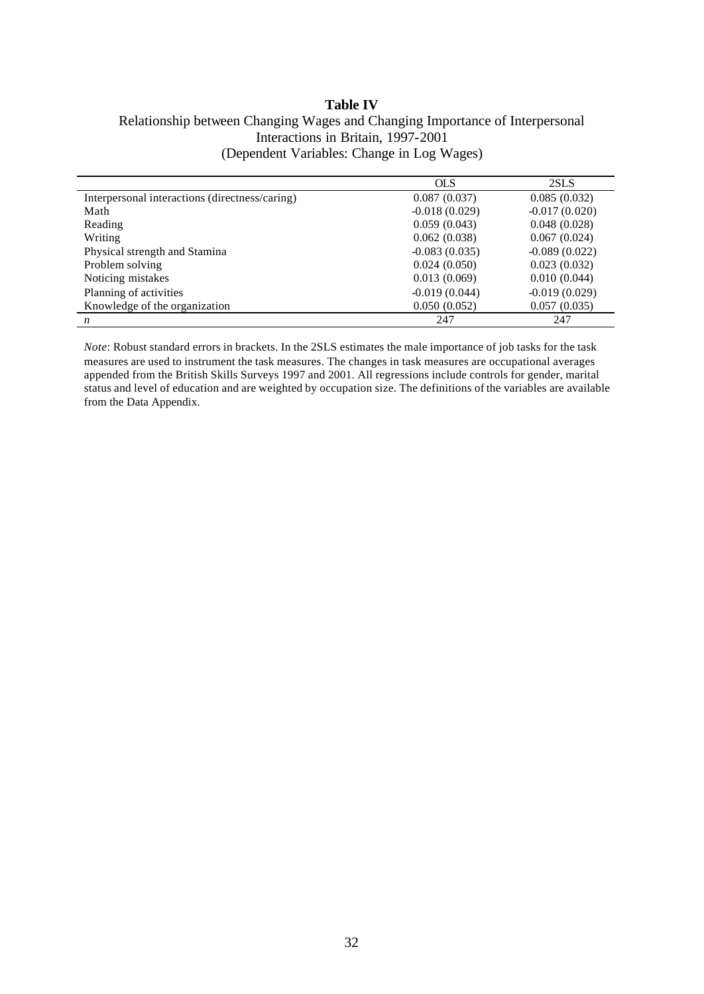## **Table IV** Relationship between Changing Wages and Changing Importance of Interpersonal Interactions in Britain, 1997-2001 (Dependent Variables: Change in Log Wages)

|                                                | <b>OLS</b>      | 2SLS            |
|------------------------------------------------|-----------------|-----------------|
| Interpersonal interactions (directness/caring) | 0.087(0.037)    | 0.085(0.032)    |
| Math                                           | $-0.018(0.029)$ | $-0.017(0.020)$ |
| Reading                                        | 0.059(0.043)    | 0.048(0.028)    |
| Writing                                        | 0.062(0.038)    | 0.067(0.024)    |
| Physical strength and Stamina                  | $-0.083(0.035)$ | $-0.089(0.022)$ |
| Problem solving                                | 0.024(0.050)    | 0.023(0.032)    |
| Noticing mistakes                              | 0.013(0.069)    | 0.010(0.044)    |
| Planning of activities                         | $-0.019(0.044)$ | $-0.019(0.029)$ |
| Knowledge of the organization                  | 0.050(0.052)    | 0.057(0.035)    |
| $\boldsymbol{n}$                               | 247             | 247             |

*Note*: Robust standard errors in brackets. In the 2SLS estimates the male importance of job tasks for the task measures are used to instrument the task measures. The changes in task measures are occupational averages appended from the British Skills Surveys 1997 and 2001. All regressions include controls for gender, marital status and level of education and are weighted by occupation size. The definitions of the variables are available from the Data Appendix.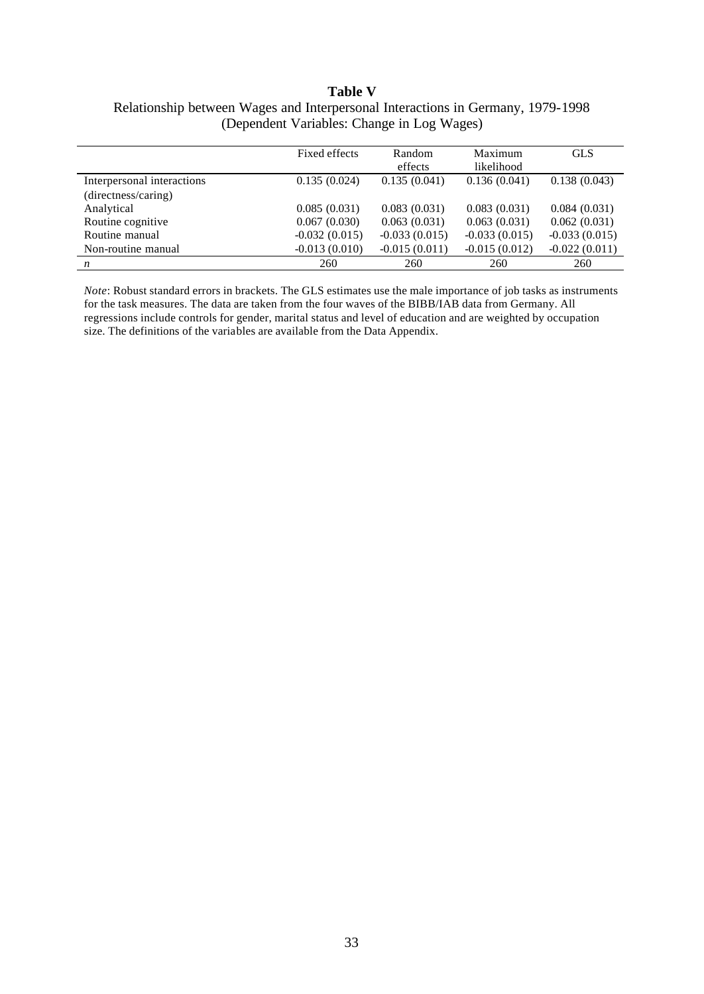## **Table V** Relationship between Wages and Interpersonal Interactions in Germany, 1979-1998 (Dependent Variables: Change in Log Wages)

|                            | Fixed effects   | Random<br>effects | Maximum<br>likelihood | <b>GLS</b>      |
|----------------------------|-----------------|-------------------|-----------------------|-----------------|
| Interpersonal interactions | 0.135(0.024)    | 0.135(0.041)      | 0.136(0.041)          | 0.138(0.043)    |
| (directness/caring)        |                 |                   |                       |                 |
| Analytical                 | 0.085(0.031)    | 0.083(0.031)      | 0.083(0.031)          | 0.084(0.031)    |
| Routine cognitive          | 0.067(0.030)    | 0.063(0.031)      | 0.063(0.031)          | 0.062(0.031)    |
| Routine manual             | $-0.032(0.015)$ | $-0.033(0.015)$   | $-0.033(0.015)$       | $-0.033(0.015)$ |
| Non-routine manual         | $-0.013(0.010)$ | $-0.015(0.011)$   | $-0.015(0.012)$       | $-0.022(0.011)$ |
| n                          | 260             | 260               | 260                   | 260             |

*Note*: Robust standard errors in brackets. The GLS estimates use the male importance of job tasks as instruments for the task measures. The data are taken from the four waves of the BIBB/IAB data from Germany. All regressions include controls for gender, marital status and level of education and are weighted by occupation size. The definitions of the variables are available from the Data Appendix.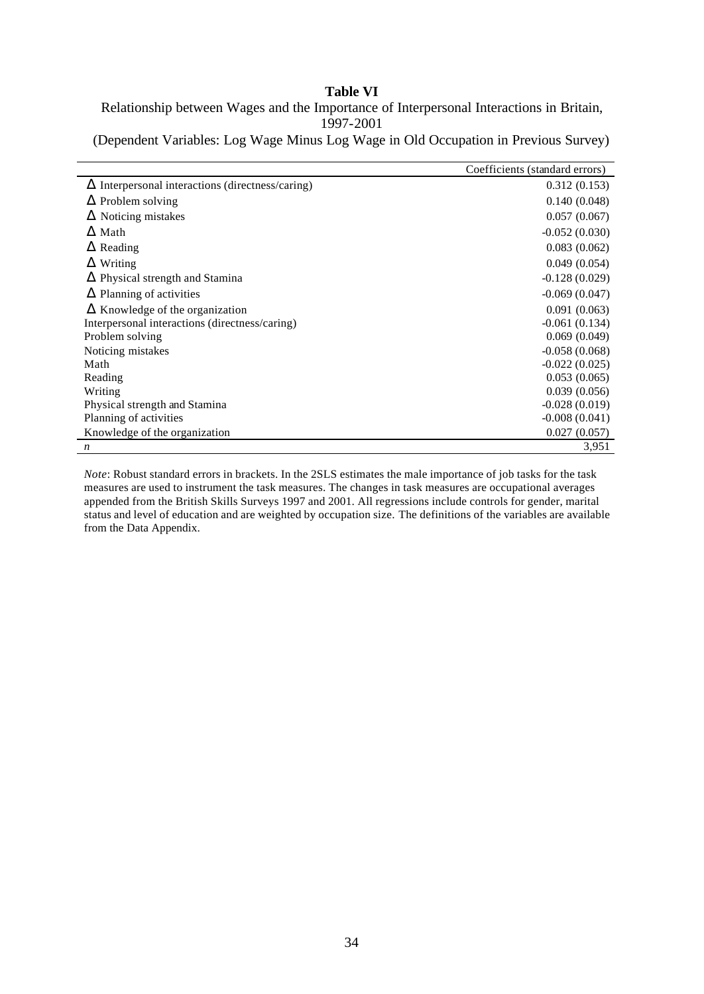## **Table VI**

Relationship between Wages and the Importance of Interpersonal Interactions in Britain, 1997-2001

(Dependent Variables: Log Wage Minus Log Wage in Old Occupation in Previous Survey)

|                                                         | Coefficients (standard errors) |
|---------------------------------------------------------|--------------------------------|
| $\Delta$ Interpersonal interactions (directness/caring) | 0.312(0.153)                   |
| $\Delta$ Problem solving                                | 0.140(0.048)                   |
| $\Delta$ Noticing mistakes                              | 0.057(0.067)                   |
| $\Delta$ Math                                           | $-0.052(0.030)$                |
| $\Delta$ Reading                                        | 0.083(0.062)                   |
| $\Delta$ Writing                                        | 0.049(0.054)                   |
| $\Delta$ Physical strength and Stamina                  | $-0.128(0.029)$                |
| $\Delta$ Planning of activities                         | $-0.069(0.047)$                |
| $\Delta$ Knowledge of the organization                  | 0.091(0.063)                   |
| Interpersonal interactions (directness/caring)          | $-0.061(0.134)$                |
| Problem solving                                         | 0.069(0.049)                   |
| Noticing mistakes                                       | $-0.058(0.068)$                |
| Math                                                    | $-0.022(0.025)$                |
| Reading                                                 | 0.053(0.065)                   |
| Writing                                                 | 0.039(0.056)                   |
| Physical strength and Stamina                           | $-0.028(0.019)$                |
| Planning of activities                                  | $-0.008(0.041)$                |
| Knowledge of the organization                           | 0.027(0.057)                   |
| $\boldsymbol{n}$                                        | 3,951                          |

*Note*: Robust standard errors in brackets. In the 2SLS estimates the male importance of job tasks for the task measures are used to instrument the task measures. The changes in task measures are occupational averages appended from the British Skills Surveys 1997 and 2001. All regressions include controls for gender, marital status and level of education and are weighted by occupation size. The definitions of the variables are available from the Data Appendix.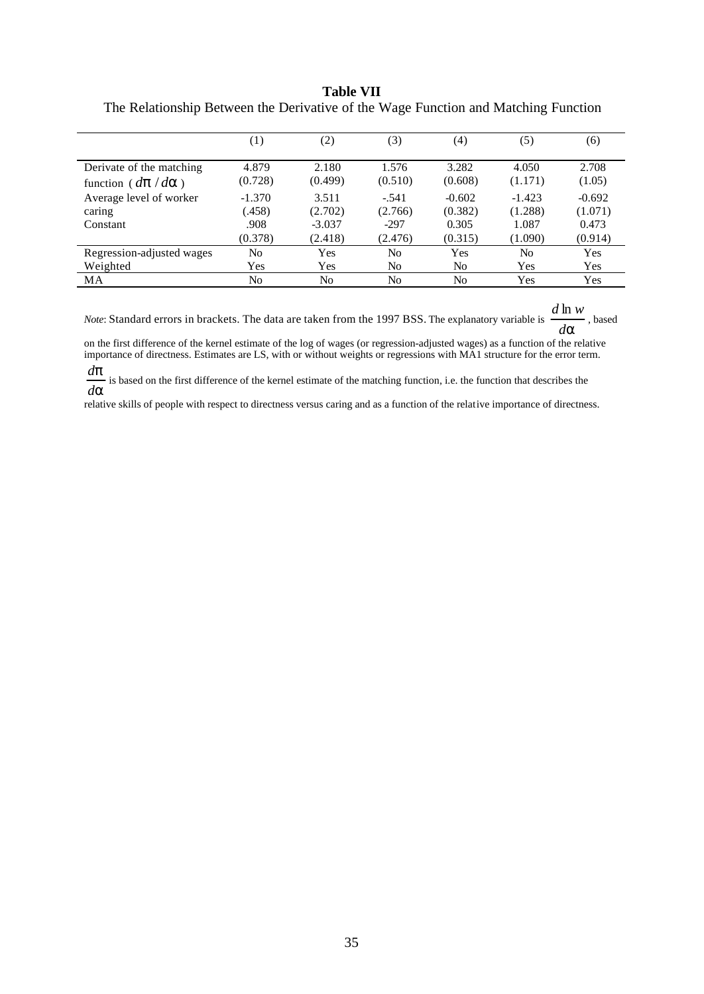### **Table VII**

|                                        | $\left(1\right)$ | (2)      | (3)     | (4)      | (5)      | (6)      |
|----------------------------------------|------------------|----------|---------|----------|----------|----------|
|                                        |                  |          |         |          |          |          |
| Derivate of the matching               | 4.879            | 2.180    | 1.576   | 3.282    | 4.050    | 2.708    |
| function ( $d\mathbf{p}/d\mathbf{a}$ ) | (0.728)          | (0.499)  | (0.510) | (0.608)  | (1.171)  | (1.05)   |
| Average level of worker                | $-1.370$         | 3.511    | $-.541$ | $-0.602$ | $-1.423$ | $-0.692$ |
| caring                                 | (.458)           | (2.702)  | (2.766) | (0.382)  | (1.288)  | (1.071)  |
| Constant                               | .908             | $-3.037$ | $-297$  | 0.305    | 1.087    | 0.473    |
|                                        | (0.378)          | (2.418)  | (2.476) | (0.315)  | (1.090)  | (0.914)  |
| Regression-adjusted wages              | No               | Yes      | No      | Yes      | No       | Yes      |
| Weighted                               | Yes              | Yes      | No      | No       | Yes      | Yes      |
| MA                                     | No               | No       | No      | No       | Yes      | Yes      |

The Relationship Between the Derivative of the Wage Function and Matching Function

*Note*: Standard errors in brackets. The data are taken from the 1997 BSS. The explanatory variable is  $\frac{d\mathbf{a}}{d\mathbf{a}}$  $\frac{d \ln w}{dx}$ , based

on the first difference of the kernel estimate of the log of wages (or regression-adjusted wages) as a function of the relative importance of directness. Estimates are LS, with or without weights or regressions with MA1 structure for the error term.

*a p d d* is based on the first difference of the kernel estimate of the matching function, i.e. the function that describes the

relative skills of people with respect to directness versus caring and as a function of the relative importance of directness.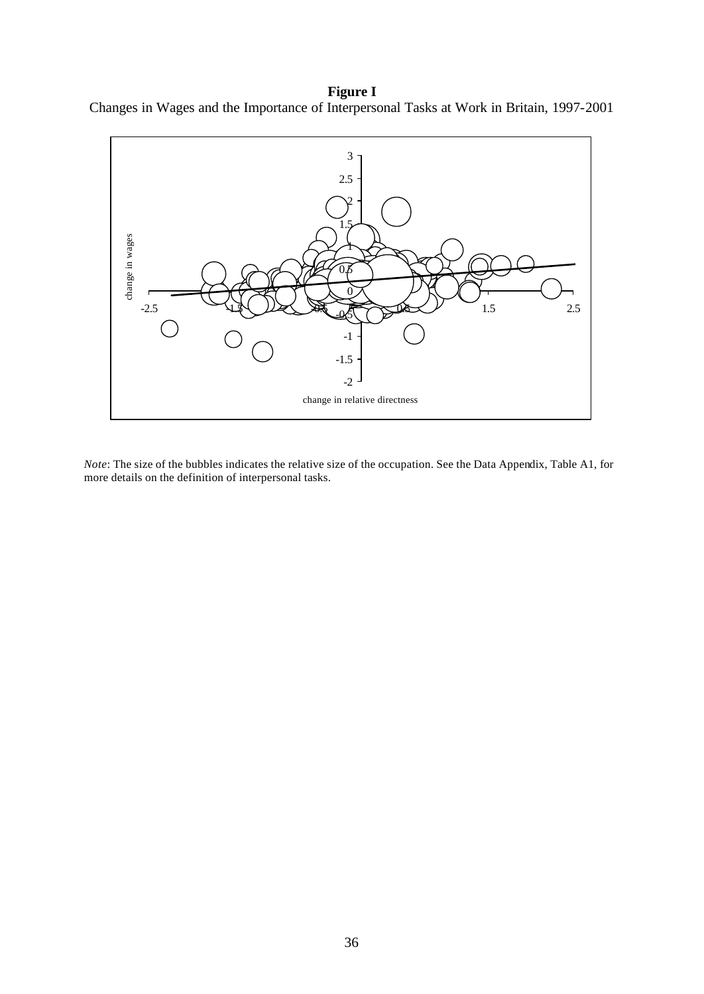**Figure I** Changes in Wages and the Importance of Interpersonal Tasks at Work in Britain, 1997-2001



*Note*: The size of the bubbles indicates the relative size of the occupation. See the Data Appendix, Table A1, for more details on the definition of interpersonal tasks.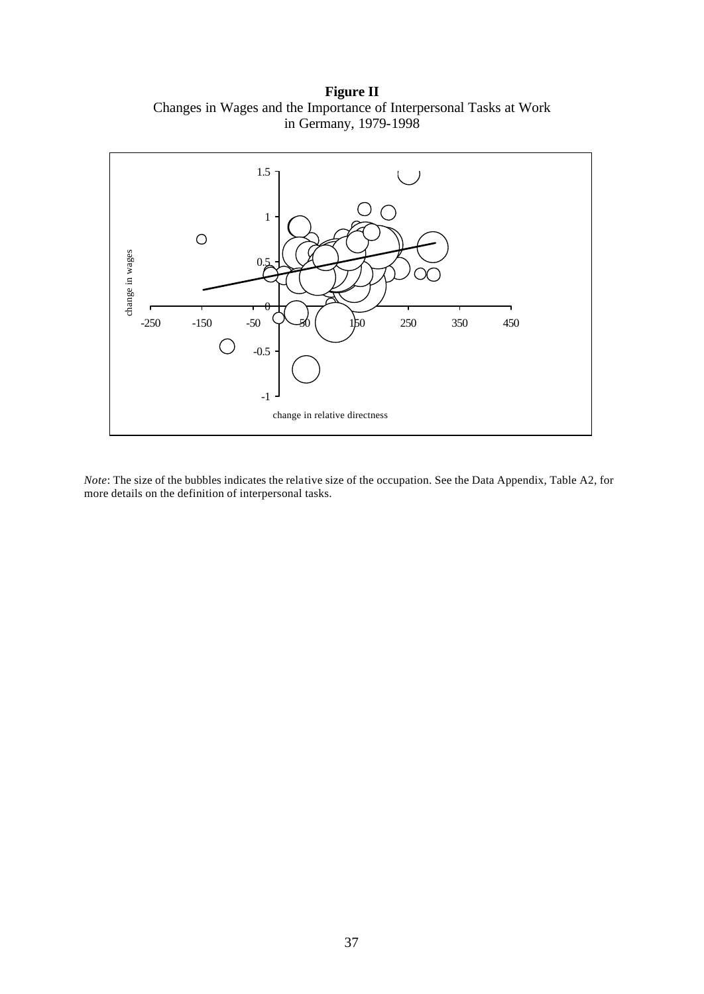**Figure II** Changes in Wages and the Importance of Interpersonal Tasks at Work in Germany, 1979-1998



*Note*: The size of the bubbles indicates the relative size of the occupation. See the Data Appendix, Table A2, for more details on the definition of interpersonal tasks.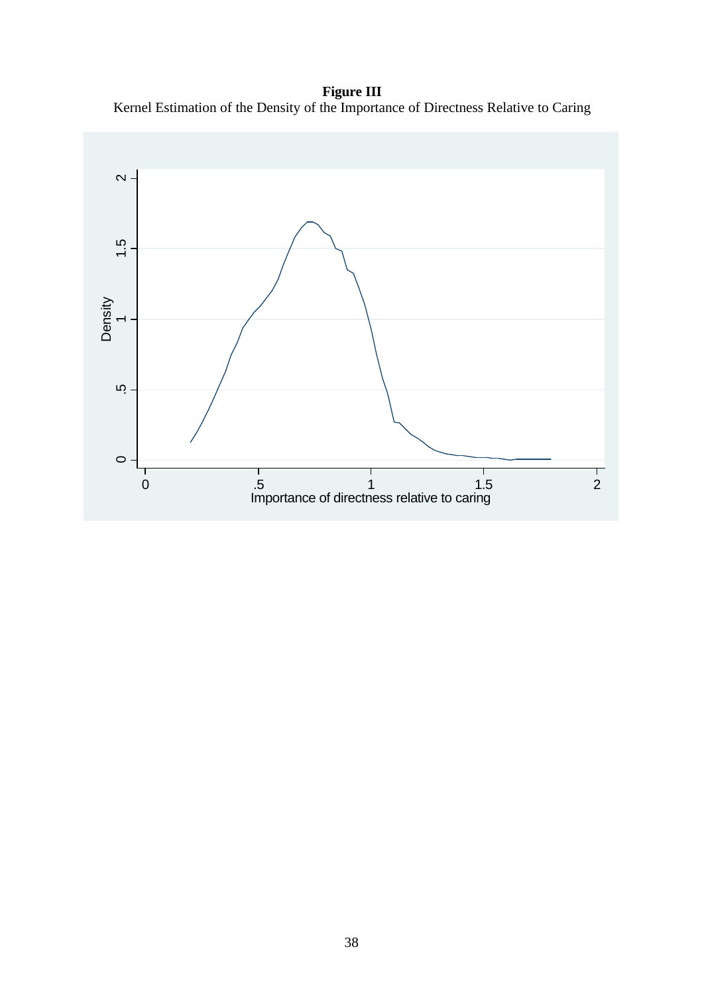**Figure III** Kernel Estimation of the Density of the Importance of Directness Relative to Caring

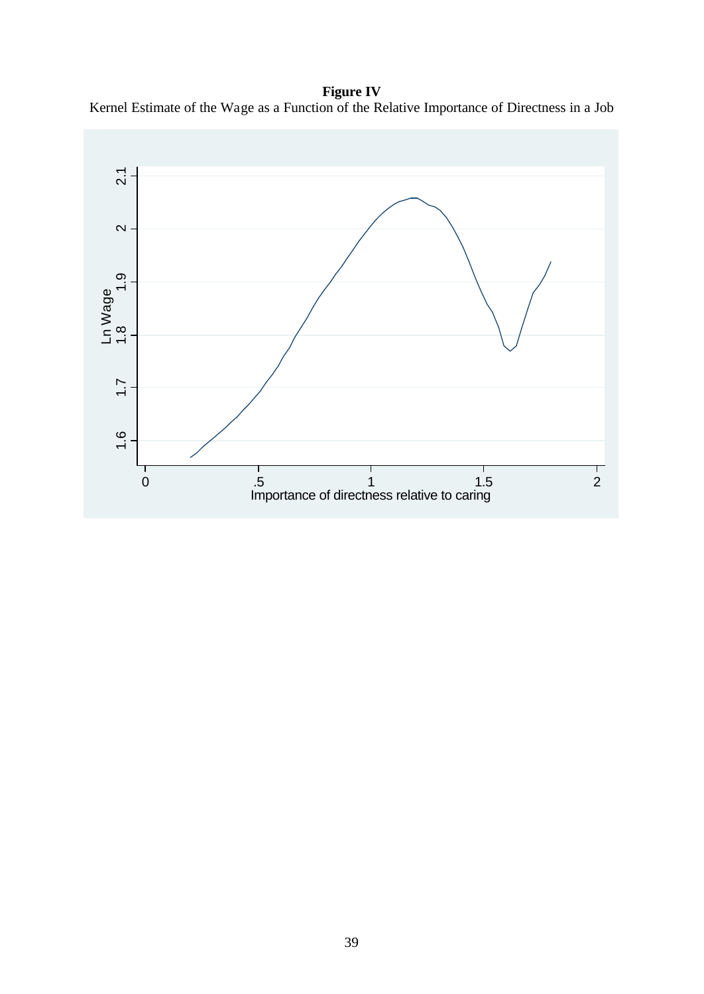**Figure IV** Kernel Estimate of the Wage as a Function of the Relative Importance of Directness in a Job

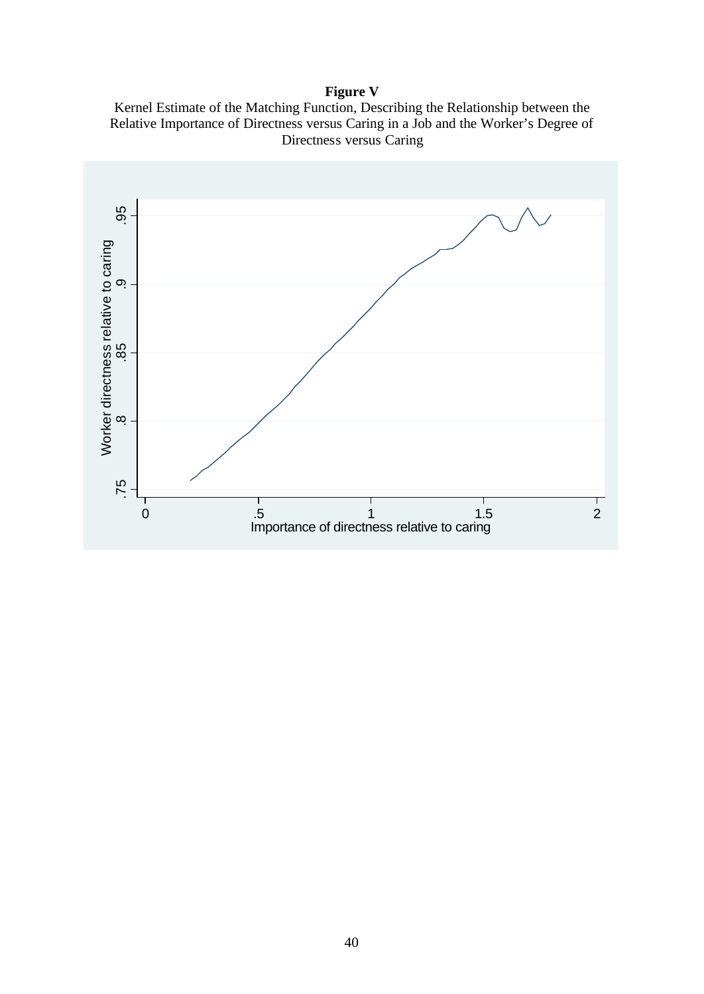# **Figure V**

Kernel Estimate of the Matching Function, Describing the Relationship between the Relative Importance of Directness versus Caring in a Job and the Worker's Degree of Directness versus Caring

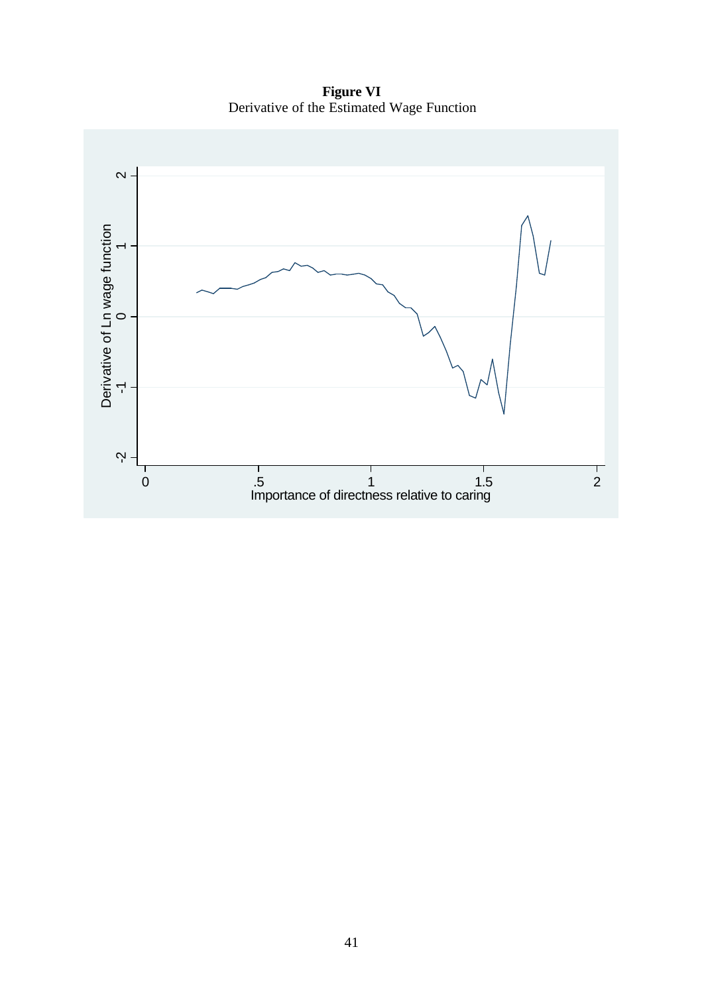**Figure VI** Derivative of the Estimated Wage Function

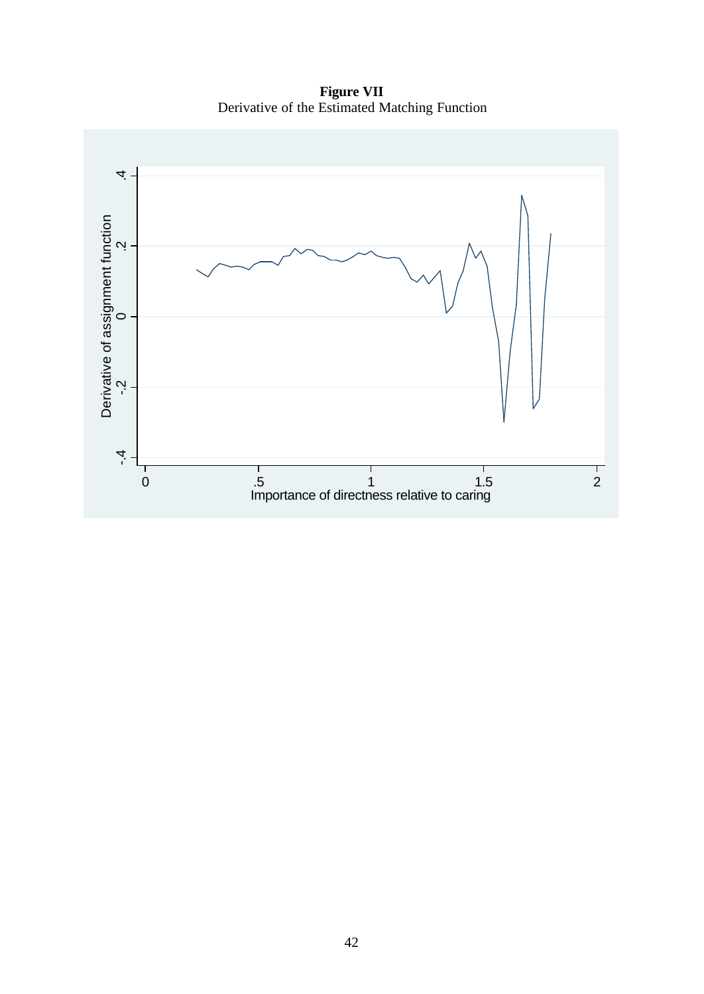**Figure VII** Derivative of the Estimated Matching Function

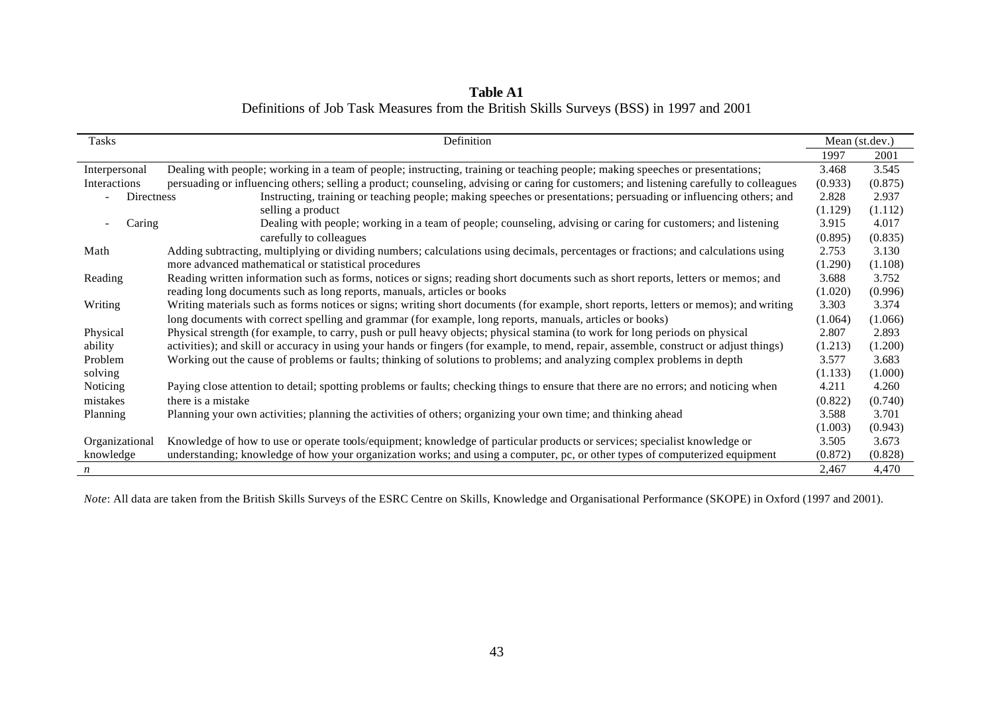| <b>Table A1</b>                                                                         |  |
|-----------------------------------------------------------------------------------------|--|
| Definitions of Job Task Measures from the British Skills Surveys (BSS) in 1997 and 2001 |  |

| Tasks            | Definition                                                                                                                               |         | Mean (st.dev.) |
|------------------|------------------------------------------------------------------------------------------------------------------------------------------|---------|----------------|
|                  |                                                                                                                                          | 1997    | 2001           |
| Interpersonal    | Dealing with people; working in a team of people; instructing, training or teaching people; making speeches or presentations;            | 3.468   | 3.545          |
| Interactions     | persuading or influencing others; selling a product; counseling, advising or caring for customers; and listening carefully to colleagues | (0.933) | (0.875)        |
| Directness       | Instructing, training or teaching people; making speeches or presentations; persuading or influencing others; and                        | 2.828   | 2.937          |
|                  | selling a product                                                                                                                        | (1.129) | (1.112)        |
| Caring           | Dealing with people; working in a team of people; counseling, advising or caring for customers; and listening                            | 3.915   | 4.017          |
|                  | carefully to colleagues                                                                                                                  | (0.895) | (0.835)        |
| Math             | Adding subtracting, multiplying or dividing numbers; calculations using decimals, percentages or fractions; and calculations using       | 2.753   | 3.130          |
|                  | more advanced mathematical or statistical procedures                                                                                     | (1.290) | (1.108)        |
| Reading          | Reading written information such as forms, notices or signs; reading short documents such as short reports, letters or memos; and        | 3.688   | 3.752          |
|                  | reading long documents such as long reports, manuals, articles or books                                                                  | (1.020) | (0.996)        |
| Writing          | Writing materials such as forms notices or signs; writing short documents (for example, short reports, letters or memos); and writing    | 3.303   | 3.374          |
|                  | long documents with correct spelling and grammar (for example, long reports, manuals, articles or books)                                 | (1.064) | (1.066)        |
| Physical         | Physical strength (for example, to carry, push or pull heavy objects; physical stamina (to work for long periods on physical             | 2.807   | 2.893          |
| ability          | activities); and skill or accuracy in using your hands or fingers (for example, to mend, repair, assemble, construct or adjust things)   | (1.213) | (1.200)        |
| Problem          | Working out the cause of problems or faults; thinking of solutions to problems; and analyzing complex problems in depth                  | 3.577   | 3.683          |
| solving          |                                                                                                                                          | (1.133) | (1.000)        |
| Noticing         | Paying close attention to detail; spotting problems or faults; checking things to ensure that there are no errors; and noticing when     | 4.211   | 4.260          |
| mistakes         | there is a mistake                                                                                                                       | (0.822) | (0.740)        |
| Planning         | Planning your own activities; planning the activities of others; organizing your own time; and thinking ahead                            | 3.588   | 3.701          |
|                  |                                                                                                                                          | (1.003) | (0.943)        |
| Organizational   | Knowledge of how to use or operate tools/equipment; knowledge of particular products or services; specialist knowledge or                | 3.505   | 3.673          |
| knowledge        | understanding; knowledge of how your organization works; and using a computer, pc, or other types of computerized equipment              | (0.872) | (0.828)        |
| $\boldsymbol{n}$ |                                                                                                                                          | 2.467   | 4,470          |

*Note*: All data are taken from the British Skills Surveys of the ESRC Centre on Skills, Knowledge and Organisational Performance (SKOPE) in Oxford (1997 and 2001).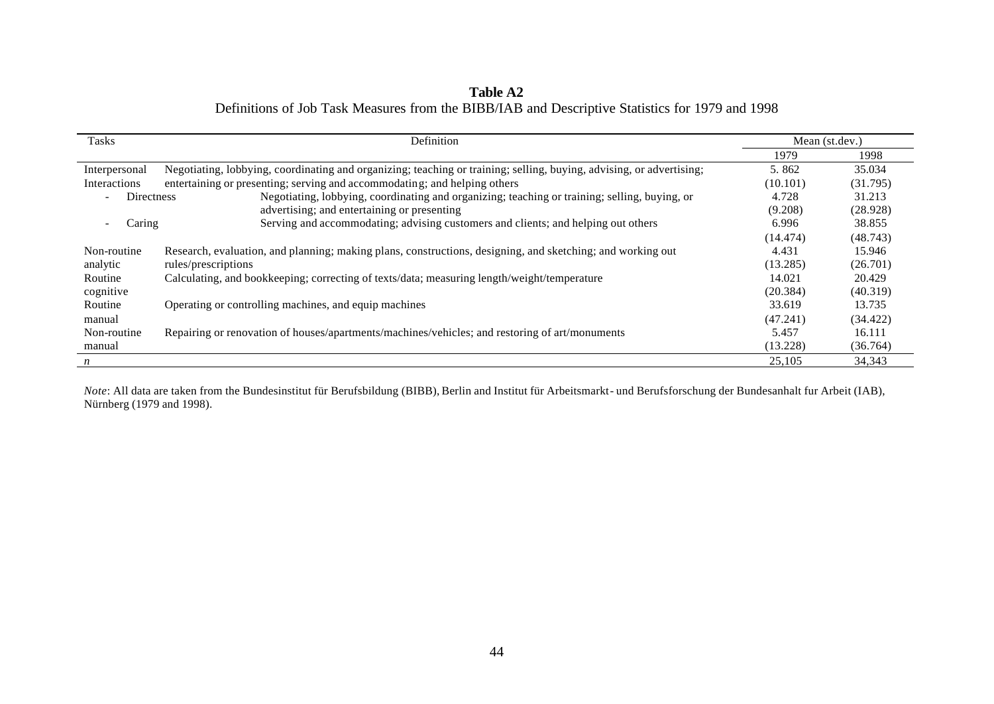| <b>Table A2</b>                                                                                 |  |
|-------------------------------------------------------------------------------------------------|--|
| Definitions of Job Task Measures from the BIBB/IAB and Descriptive Statistics for 1979 and 1998 |  |

| <b>Tasks</b>                                  | Definition                                                                                                           |          | Mean (st.dev.) |
|-----------------------------------------------|----------------------------------------------------------------------------------------------------------------------|----------|----------------|
|                                               |                                                                                                                      | 1979     | 1998           |
| Interpersonal                                 | Negotiating, lobbying, coordinating and organizing; teaching or training; selling, buying, advising, or advertising; | 5.862    | 35.034         |
| Interactions                                  | entertaining or presenting; serving and accommodating; and helping others                                            | (10.101) | (31.795)       |
| <b>Directness</b><br>$\overline{\phantom{a}}$ | Negotiating, lobbying, coordinating and organizing; teaching or training; selling, buying, or                        | 4.728    | 31.213         |
|                                               | advertising; and entertaining or presenting                                                                          | (9.208)  | (28.928)       |
| Caring                                        | Serving and accommodating; advising customers and clients; and helping out others                                    | 6.996    | 38.855         |
|                                               |                                                                                                                      | (14.474) | (48.743)       |
| Non-routine                                   | Research, evaluation, and planning; making plans, constructions, designing, and sketching; and working out           | 4.431    | 15.946         |
| analytic                                      | rules/prescriptions                                                                                                  | (13.285) | (26.701)       |
| Routine                                       | Calculating, and bookkeeping; correcting of texts/data; measuring length/weight/temperature                          | 14.021   | 20.429         |
| cognitive                                     |                                                                                                                      | (20.384) | (40.319)       |
| Routine                                       | Operating or controlling machines, and equip machines                                                                | 33.619   | 13.735         |
| manual                                        |                                                                                                                      | (47.241) | (34.422)       |
| Non-routine                                   | Repairing or renovation of houses/apartments/machines/vehicles; and restoring of art/monuments                       | 5.457    | 16.111         |
| manual                                        |                                                                                                                      | (13.228) | (36.764)       |
| $\boldsymbol{n}$                              |                                                                                                                      | 25,105   | 34,343         |

*Note*: All data are taken from the Bundesinstitut für Berufsbildung (BIBB), Berlin and Institut für Arbeitsmarkt- und Berufsforschung der Bundesanhalt fur Arbeit (IAB), Nürnberg (1979 and 1998).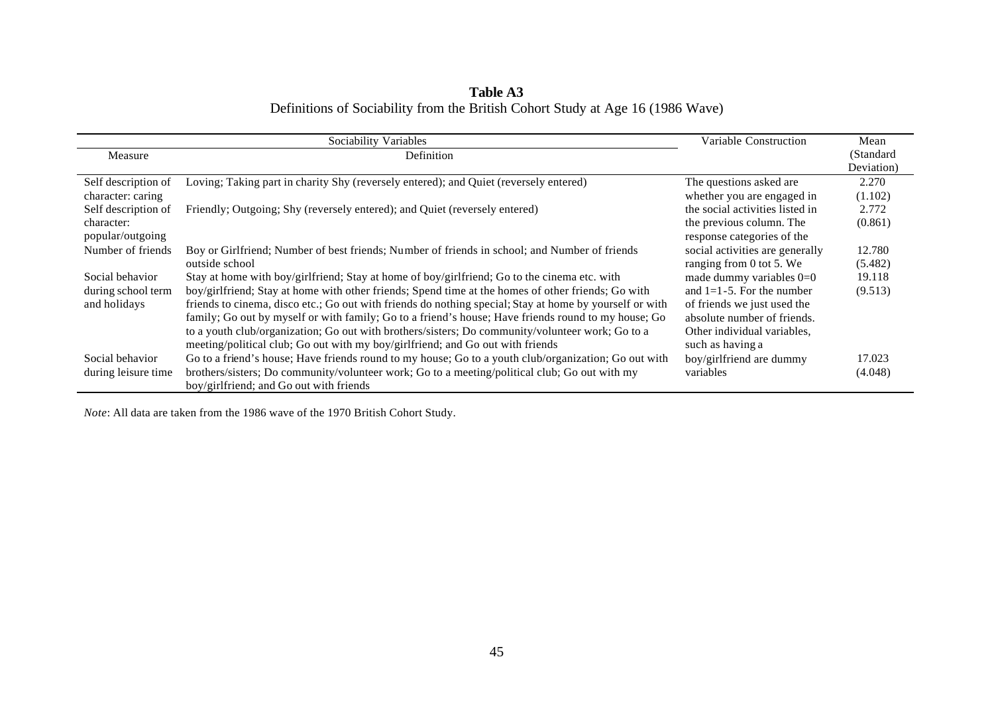| Table A3                                                                       |  |  |  |  |  |  |  |  |  |
|--------------------------------------------------------------------------------|--|--|--|--|--|--|--|--|--|
| Definitions of Sociability from the British Cohort Study at Age 16 (1986 Wave) |  |  |  |  |  |  |  |  |  |

|                     | Sociability Variables                                                                                                                    | Variable Construction           | Mean       |
|---------------------|------------------------------------------------------------------------------------------------------------------------------------------|---------------------------------|------------|
| Measure             | Definition                                                                                                                               |                                 | (Standard) |
|                     |                                                                                                                                          |                                 | Deviation) |
| Self description of | Loving; Taking part in charity Shy (reversely entered); and Quiet (reversely entered)                                                    | The questions asked are         | 2.270      |
| character: caring   |                                                                                                                                          | whether you are engaged in      | (1.102)    |
| Self description of | Friendly; Outgoing; Shy (reversely entered); and Quiet (reversely entered)                                                               | the social activities listed in | 2.772      |
| character:          |                                                                                                                                          | the previous column. The        | (0.861)    |
| popular/outgoing    |                                                                                                                                          | response categories of the      |            |
| Number of friends   | Boy or Girlfriend; Number of best friends; Number of friends in school; and Number of friends                                            | social activities are generally | 12.780     |
|                     | outside school                                                                                                                           | ranging from 0 tot 5. We        | (5.482)    |
| Social behavior     | Stay at home with boy/girlfriend; Stay at home of boy/girlfriend; Go to the cinema etc. with                                             | made dummy variables $0=0$      | 19.118     |
| during school term  | boy/girlfriend; Stay at home with other friends; Spend time at the homes of other friends; Go with                                       | and $1=1-5$ . For the number    | (9.513)    |
| and holidays        | friends to cinema, disco etc.; Go out with friends do nothing special; Stay at home by yourself or with                                  | of friends we just used the     |            |
|                     | family; Go out by myself or with family; Go to a friend's house; Have friends round to my house; Go                                      | absolute number of friends.     |            |
|                     | to a youth club/organization; Go out with brothers/sisters; Do community/volunteer work; Go to a                                         | Other individual variables,     |            |
|                     | meeting/political club; Go out with my boy/girlfriend; and Go out with friends                                                           | such as having a                |            |
| Social behavior     | Go to a friend's house; Have friends round to my house; Go to a youth club/organization; Go out with                                     | boy/girlfriend are dummy        | 17.023     |
| during leisure time | brothers/sisters; Do community/volunteer work; Go to a meeting/political club; Go out with my<br>boy/girlfriend; and Go out with friends | variables                       | (4.048)    |

*Note*: All data are taken from the 1986 wave of the 1970 British Cohort Study.